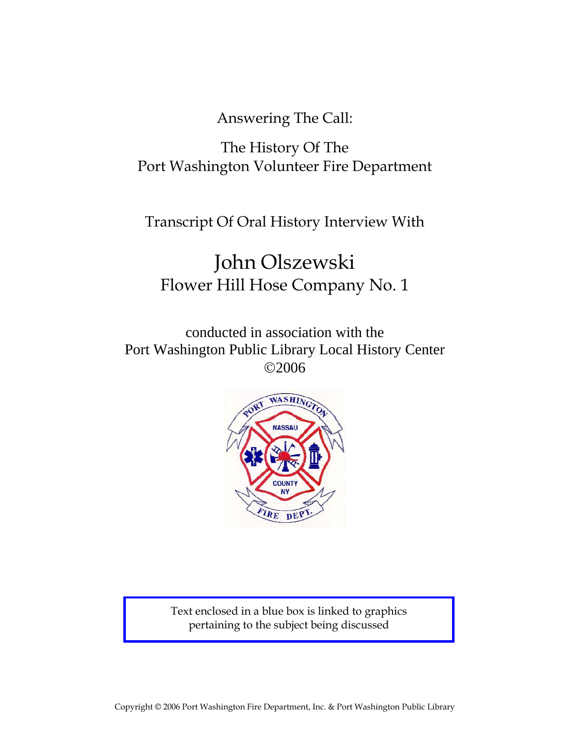Answering The Call:

# The History Of The Port Washington Volunteer Fire Department

Transcript Of Oral History Interview With

# John Olszewski Flower Hill Hose Company No. 1

conducted in association with the Port Washington Public Library Local History Center ©2006



Text enclosed in a blue box is linked to graphics pertaining to the subject being discussed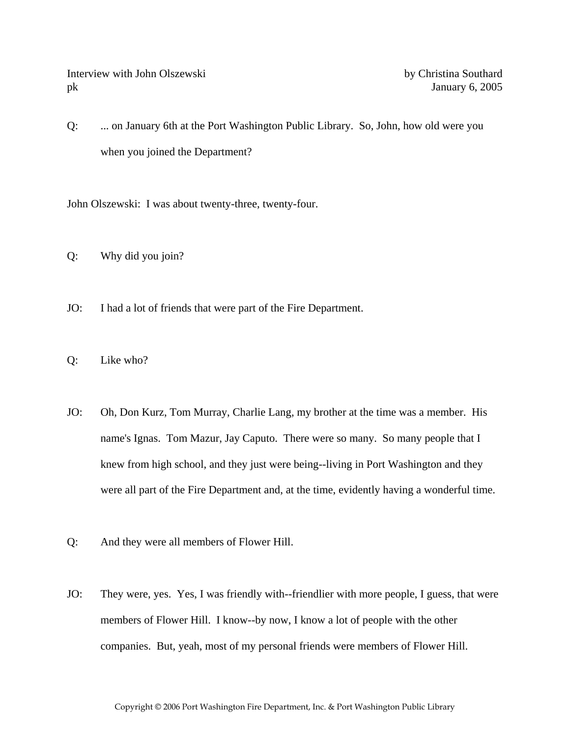Interview with John Olszewski by Christina Southard pk January 6, 2005

Q: ... on January 6th at the Port Washington Public Library. So, John, how old were you when you joined the Department?

John Olszewski: I was about twenty-three, twenty-four.

- Q: Why did you join?
- JO: I had a lot of friends that were part of the Fire Department.
- Q: Like who?
- JO: Oh, Don Kurz, Tom Murray, Charlie Lang, my brother at the time was a member. His name's Ignas. Tom Mazur, Jay Caputo. There were so many. So many people that I knew from high school, and they just were being--living in Port Washington and they were all part of the Fire Department and, at the time, evidently having a wonderful time.
- Q: And they were all members of Flower Hill.
- JO: They were, yes. Yes, I was friendly with--friendlier with more people, I guess, that were members of Flower Hill. I know--by now, I know a lot of people with the other companies. But, yeah, most of my personal friends were members of Flower Hill.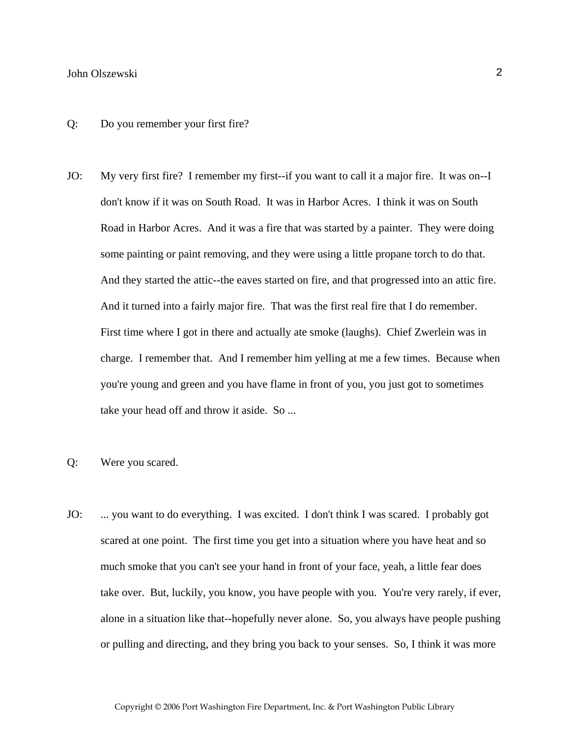- Q: Do you remember your first fire?
- JO: My very first fire? I remember my first--if you want to call it a major fire. It was on--I don't know if it was on South Road. It was in Harbor Acres. I think it was on South Road in Harbor Acres. And it was a fire that was started by a painter. They were doing some painting or paint removing, and they were using a little propane torch to do that. And they started the attic--the eaves started on fire, and that progressed into an attic fire. And it turned into a fairly major fire. That was the first real fire that I do remember. First time where I got in there and actually ate smoke (laughs). Chief Zwerlein was in charge. I remember that. And I remember him yelling at me a few times. Because when you're young and green and you have flame in front of you, you just got to sometimes take your head off and throw it aside. So ...
- Q: Were you scared.
- JO: ... you want to do everything. I was excited. I don't think I was scared. I probably got scared at one point. The first time you get into a situation where you have heat and so much smoke that you can't see your hand in front of your face, yeah, a little fear does take over. But, luckily, you know, you have people with you. You're very rarely, if ever, alone in a situation like that--hopefully never alone. So, you always have people pushing or pulling and directing, and they bring you back to your senses. So, I think it was more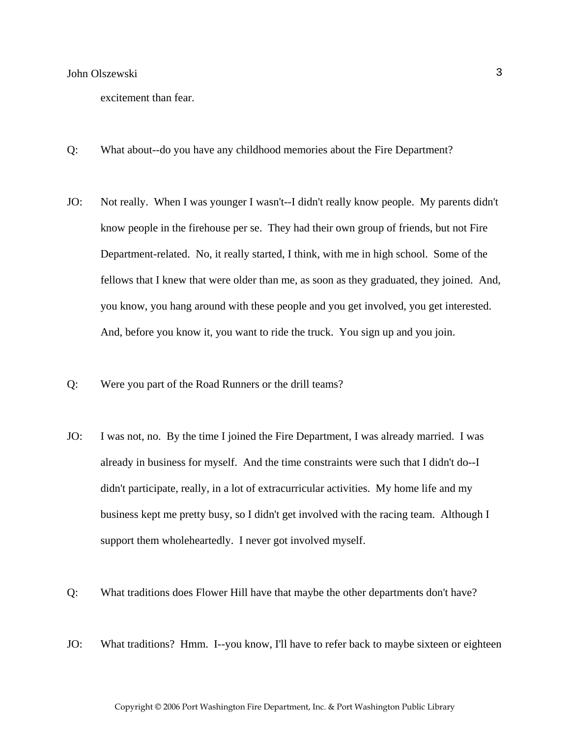excitement than fear.

- Q: What about--do you have any childhood memories about the Fire Department?
- JO: Not really. When I was younger I wasn't--I didn't really know people. My parents didn't know people in the firehouse per se. They had their own group of friends, but not Fire Department-related. No, it really started, I think, with me in high school. Some of the fellows that I knew that were older than me, as soon as they graduated, they joined. And, you know, you hang around with these people and you get involved, you get interested. And, before you know it, you want to ride the truck. You sign up and you join.
- Q: Were you part of the Road Runners or the drill teams?
- JO: I was not, no. By the time I joined the Fire Department, I was already married. I was already in business for myself. And the time constraints were such that I didn't do--I didn't participate, really, in a lot of extracurricular activities. My home life and my business kept me pretty busy, so I didn't get involved with the racing team. Although I support them wholeheartedly. I never got involved myself.
- Q: What traditions does Flower Hill have that maybe the other departments don't have?
- JO: What traditions? Hmm. I--you know, I'll have to refer back to maybe sixteen or eighteen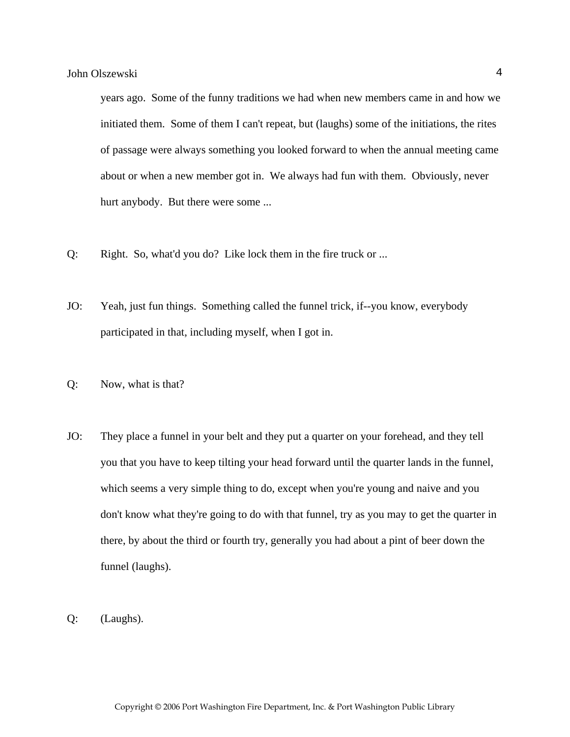years ago. Some of the funny traditions we had when new members came in and how we initiated them. Some of them I can't repeat, but (laughs) some of the initiations, the rites of passage were always something you looked forward to when the annual meeting came about or when a new member got in. We always had fun with them. Obviously, never hurt anybody. But there were some ...

- Q: Right. So, what'd you do? Like lock them in the fire truck or ...
- JO: Yeah, just fun things. Something called the funnel trick, if--you know, everybody participated in that, including myself, when I got in.
- Q: Now, what is that?
- JO: They place a funnel in your belt and they put a quarter on your forehead, and they tell you that you have to keep tilting your head forward until the quarter lands in the funnel, which seems a very simple thing to do, except when you're young and naive and you don't know what they're going to do with that funnel, try as you may to get the quarter in there, by about the third or fourth try, generally you had about a pint of beer down the funnel (laughs).
- Q: (Laughs).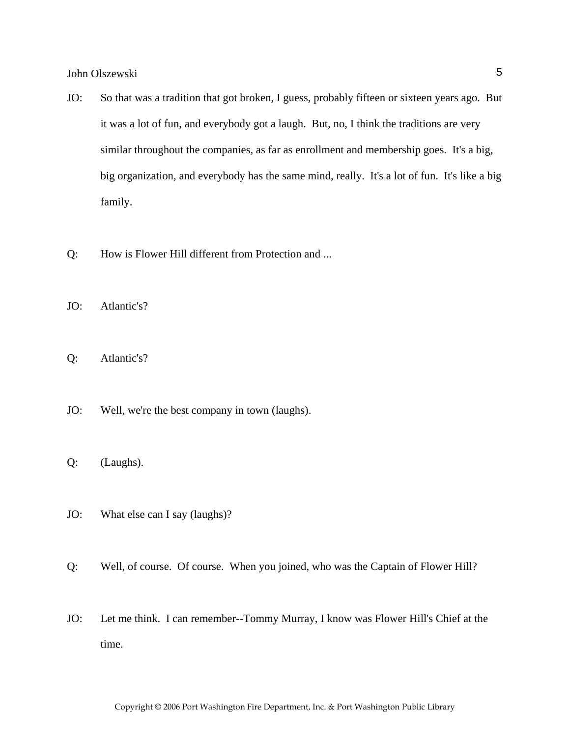- JO: So that was a tradition that got broken, I guess, probably fifteen or sixteen years ago. But it was a lot of fun, and everybody got a laugh. But, no, I think the traditions are very similar throughout the companies, as far as enrollment and membership goes. It's a big, big organization, and everybody has the same mind, really. It's a lot of fun. It's like a big family.
- Q: How is Flower Hill different from Protection and ...
- JO: Atlantic's?
- Q: Atlantic's?
- JO: Well, we're the best company in town (laughs).
- Q: (Laughs).
- JO: What else can I say (laughs)?
- Q: Well, of course. Of course. When you joined, who was the Captain of Flower Hill?
- JO: Let me think. I can remember--Tommy Murray, I know was Flower Hill's Chief at the time.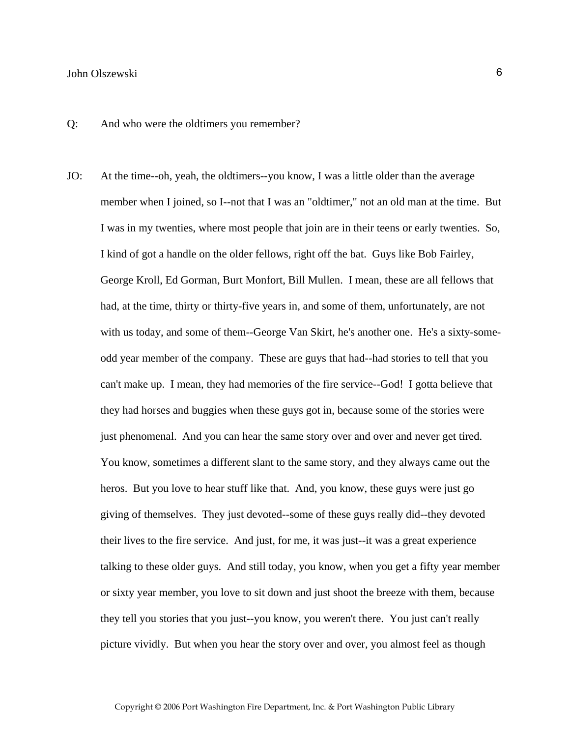Q: And who were the oldtimers you remember?

JO: At the time--oh, yeah, the oldtimers--you know, I was a little older than the average member when I joined, so I--not that I was an "oldtimer," not an old man at the time. But I was in my twenties, where most people that join are in their teens or early twenties. So, I kind of got a handle on the older fellows, right off the bat. Guys like Bob Fairley, George Kroll, Ed Gorman, Burt Monfort, Bill Mullen. I mean, these are all fellows that had, at the time, thirty or thirty-five years in, and some of them, unfortunately, are not with us today, and some of them--George Van Skirt, he's another one. He's a sixty-someodd year member of the company. These are guys that had--had stories to tell that you can't make up. I mean, they had memories of the fire service--God! I gotta believe that they had horses and buggies when these guys got in, because some of the stories were just phenomenal. And you can hear the same story over and over and never get tired. You know, sometimes a different slant to the same story, and they always came out the heros. But you love to hear stuff like that. And, you know, these guys were just go giving of themselves. They just devoted--some of these guys really did--they devoted their lives to the fire service. And just, for me, it was just--it was a great experience talking to these older guys. And still today, you know, when you get a fifty year member or sixty year member, you love to sit down and just shoot the breeze with them, because they tell you stories that you just--you know, you weren't there. You just can't really picture vividly. But when you hear the story over and over, you almost feel as though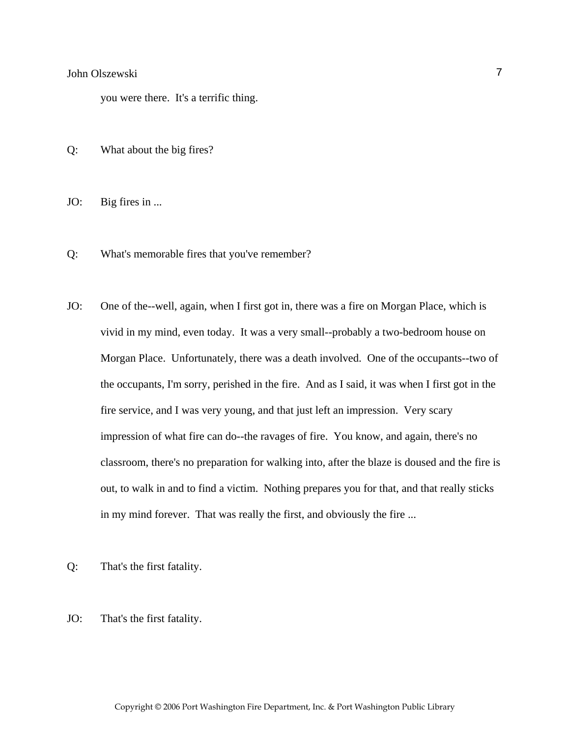you were there. It's a terrific thing.

- Q: What about the big fires?
- JO: Big fires in ...
- Q: What's memorable fires that you've remember?
- JO: One of the--well, again, when I first got in, there was a fire on Morgan Place, which is vivid in my mind, even today. It was a very small--probably a two-bedroom house on Morgan Place. Unfortunately, there was a death involved. One of the occupants--two of the occupants, I'm sorry, perished in the fire. And as I said, it was when I first got in the fire service, and I was very young, and that just left an impression. Very scary impression of what fire can do--the ravages of fire. You know, and again, there's no classroom, there's no preparation for walking into, after the blaze is doused and the fire is out, to walk in and to find a victim. Nothing prepares you for that, and that really sticks in my mind forever. That was really the first, and obviously the fire ...
- Q: That's the first fatality.
- JO: That's the first fatality.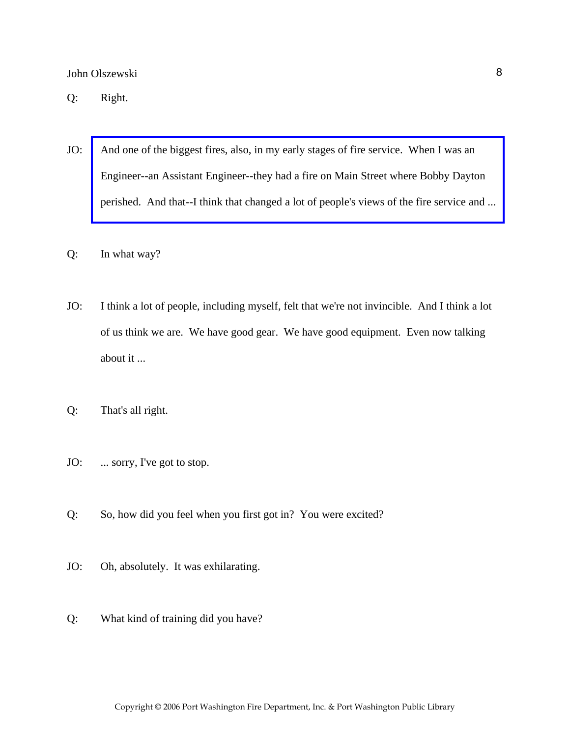Q: Right.

- JO: And one of the biggest fires, also, in my early stages of fire service. When I was an Engineer--an Assistant Engineer--they had a fire on Main Street where Bobby Dayton [perished. And that--I think that changed a lot of people's views of the fire service and ...](http://www.pwfdhistory.com/trans/olszewskij_trans/nday881130web_pz.pdf)
- Q: In what way?
- JO: I think a lot of people, including myself, felt that we're not invincible. And I think a lot of us think we are. We have good gear. We have good equipment. Even now talking about it ...
- Q: That's all right.
- JO: ... sorry, I've got to stop.
- Q: So, how did you feel when you first got in? You were excited?
- JO: Oh, absolutely. It was exhilarating.
- Q: What kind of training did you have?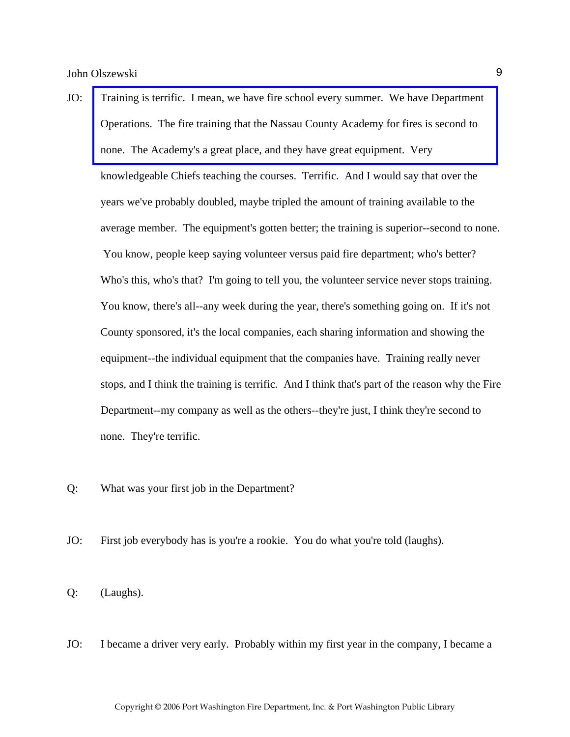- JO: [Training is terrific. I mean, we have fire school every summer. We have Department](http://www.veebfsa.org)  Operations. The fire training that the Nassau County Academy for fires is second to none. The Academy's a great place, and they have great equipment. Very knowledgeable Chiefs teaching the courses. Terrific. And I would say that over the years we've probably doubled, maybe tripled the amount of training available to the average member. The equipment's gotten better; the training is superior--second to none. You know, people keep saying volunteer versus paid fire department; who's better? Who's this, who's that? I'm going to tell you, the volunteer service never stops training. You know, there's all--any week during the year, there's something going on. If it's not County sponsored, it's the local companies, each sharing information and showing the equipment--the individual equipment that the companies have. Training really never stops, and I think the training is terrific. And I think that's part of the reason why the Fire Department--my company as well as the others--they're just, I think they're second to none. They're terrific.
- Q: What was your first job in the Department?
- JO: First job everybody has is you're a rookie. You do what you're told (laughs).

Q: (Laughs).

JO: I became a driver very early. Probably within my first year in the company, I became a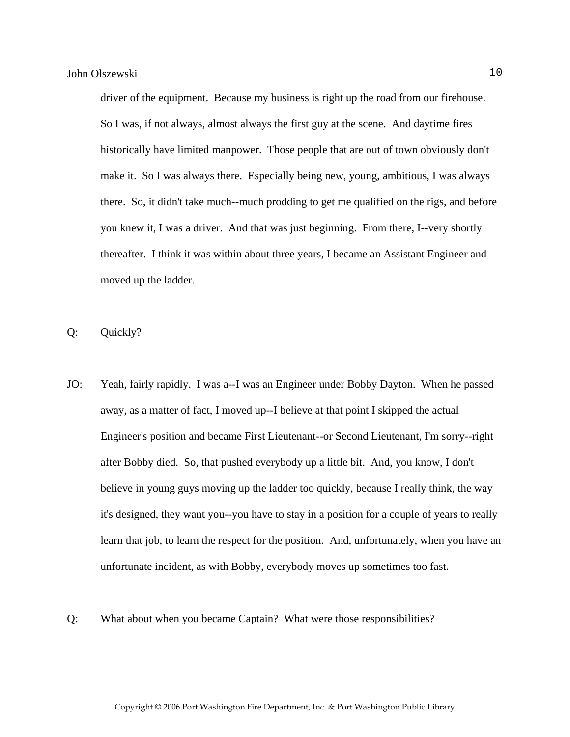driver of the equipment. Because my business is right up the road from our firehouse. So I was, if not always, almost always the first guy at the scene. And daytime fires historically have limited manpower. Those people that are out of town obviously don't make it. So I was always there. Especially being new, young, ambitious, I was always there. So, it didn't take much--much prodding to get me qualified on the rigs, and before you knew it, I was a driver. And that was just beginning. From there, I--very shortly thereafter. I think it was within about three years, I became an Assistant Engineer and moved up the ladder.

Q: Quickly?

- JO: Yeah, fairly rapidly. I was a--I was an Engineer under Bobby Dayton. When he passed away, as a matter of fact, I moved up--I believe at that point I skipped the actual Engineer's position and became First Lieutenant--or Second Lieutenant, I'm sorry--right after Bobby died. So, that pushed everybody up a little bit. And, you know, I don't believe in young guys moving up the ladder too quickly, because I really think, the way it's designed, they want you--you have to stay in a position for a couple of years to really learn that job, to learn the respect for the position. And, unfortunately, when you have an unfortunate incident, as with Bobby, everybody moves up sometimes too fast.
- Q: What about when you became Captain? What were those responsibilities?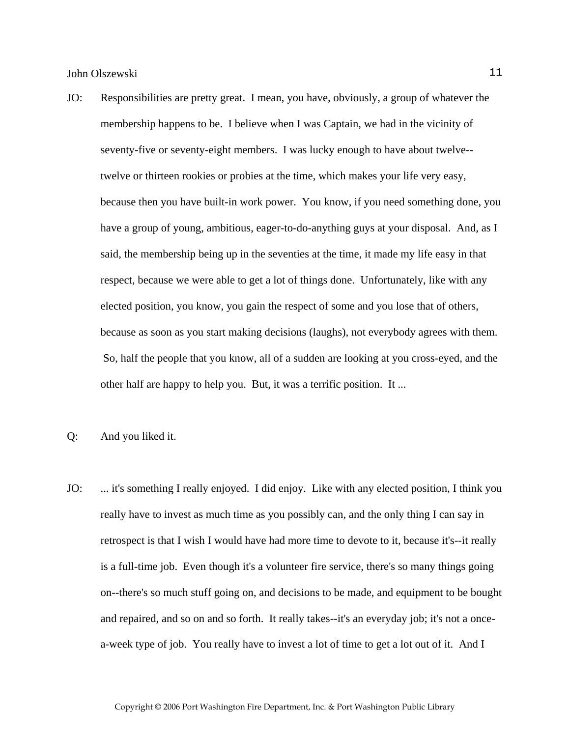- JO: Responsibilities are pretty great. I mean, you have, obviously, a group of whatever the membership happens to be. I believe when I was Captain, we had in the vicinity of seventy-five or seventy-eight members. I was lucky enough to have about twelve- twelve or thirteen rookies or probies at the time, which makes your life very easy, because then you have built-in work power. You know, if you need something done, you have a group of young, ambitious, eager-to-do-anything guys at your disposal. And, as I said, the membership being up in the seventies at the time, it made my life easy in that respect, because we were able to get a lot of things done. Unfortunately, like with any elected position, you know, you gain the respect of some and you lose that of others, because as soon as you start making decisions (laughs), not everybody agrees with them. So, half the people that you know, all of a sudden are looking at you cross-eyed, and the other half are happy to help you. But, it was a terrific position. It ...
- Q: And you liked it.
- JO: ... it's something I really enjoyed. I did enjoy. Like with any elected position, I think you really have to invest as much time as you possibly can, and the only thing I can say in retrospect is that I wish I would have had more time to devote to it, because it's--it really is a full-time job. Even though it's a volunteer fire service, there's so many things going on--there's so much stuff going on, and decisions to be made, and equipment to be bought and repaired, and so on and so forth. It really takes--it's an everyday job; it's not a oncea-week type of job. You really have to invest a lot of time to get a lot out of it. And I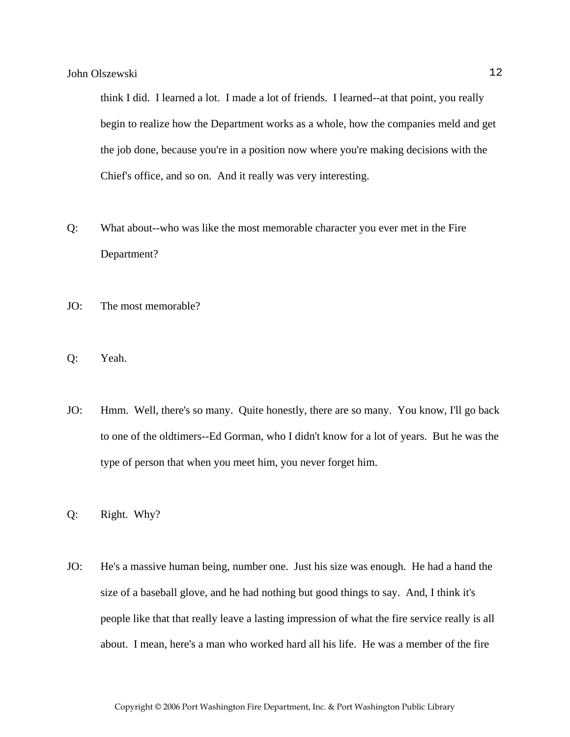think I did. I learned a lot. I made a lot of friends. I learned--at that point, you really begin to realize how the Department works as a whole, how the companies meld and get the job done, because you're in a position now where you're making decisions with the Chief's office, and so on. And it really was very interesting.

- Q: What about--who was like the most memorable character you ever met in the Fire Department?
- JO: The most memorable?
- Q: Yeah.
- JO: Hmm. Well, there's so many. Quite honestly, there are so many. You know, I'll go back to one of the oldtimers--Ed Gorman, who I didn't know for a lot of years. But he was the type of person that when you meet him, you never forget him.
- Q: Right. Why?
- JO: He's a massive human being, number one. Just his size was enough. He had a hand the size of a baseball glove, and he had nothing but good things to say. And, I think it's people like that that really leave a lasting impression of what the fire service really is all about. I mean, here's a man who worked hard all his life. He was a member of the fire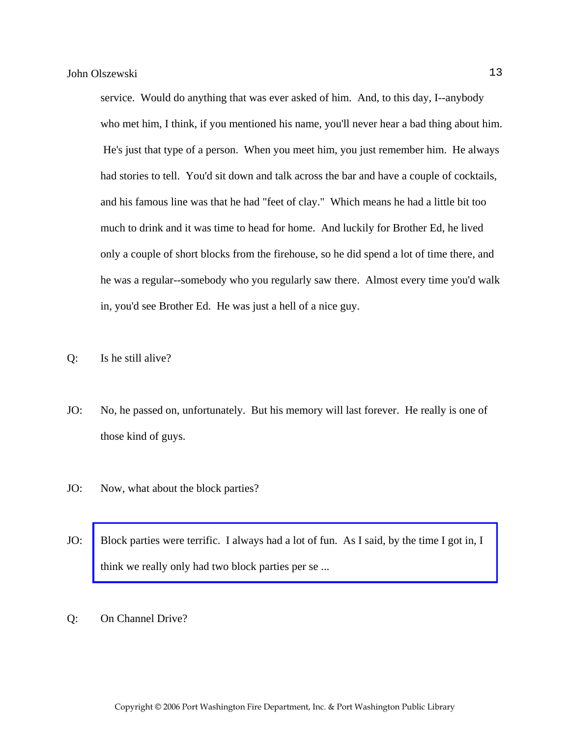service. Would do anything that was ever asked of him. And, to this day, I--anybody who met him, I think, if you mentioned his name, you'll never hear a bad thing about him. He's just that type of a person. When you meet him, you just remember him. He always had stories to tell. You'd sit down and talk across the bar and have a couple of cocktails, and his famous line was that he had "feet of clay." Which means he had a little bit too much to drink and it was time to head for home. And luckily for Brother Ed, he lived only a couple of short blocks from the firehouse, so he did spend a lot of time there, and he was a regular--somebody who you regularly saw there. Almost every time you'd walk in, you'd see Brother Ed. He was just a hell of a nice guy.

Q: Is he still alive?

- JO: No, he passed on, unfortunately. But his memory will last forever. He really is one of those kind of guys.
- JO: Now, what about the block parties?
- JO: [Block parties were terrific. I always had a lot of fun. As I said, by the time I got in, I](http://www.pwfdhistory.com/trans/olszewskij_trans/news_cocks260c_web.jpg)  think we really only had two block parties per se ...
- Q: On Channel Drive?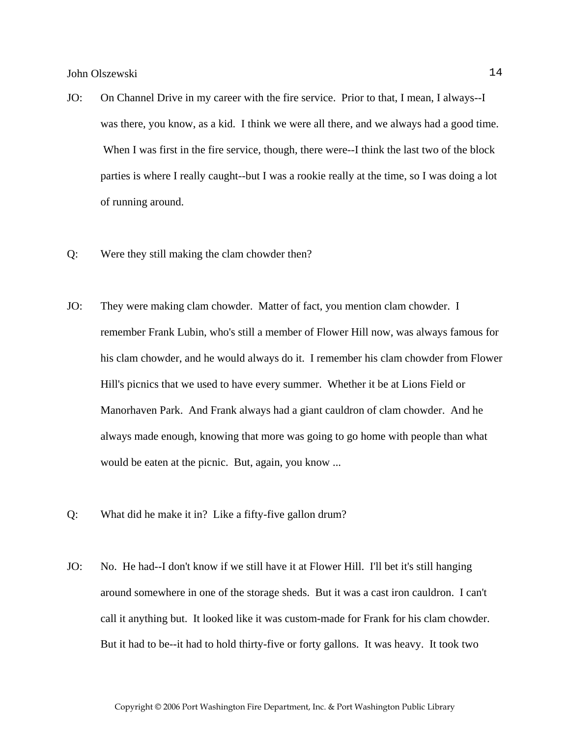- JO: On Channel Drive in my career with the fire service. Prior to that, I mean, I always--I was there, you know, as a kid. I think we were all there, and we always had a good time. When I was first in the fire service, though, there were--I think the last two of the block parties is where I really caught--but I was a rookie really at the time, so I was doing a lot of running around.
- Q: Were they still making the clam chowder then?
- JO: They were making clam chowder. Matter of fact, you mention clam chowder. I remember Frank Lubin, who's still a member of Flower Hill now, was always famous for his clam chowder, and he would always do it. I remember his clam chowder from Flower Hill's picnics that we used to have every summer. Whether it be at Lions Field or Manorhaven Park. And Frank always had a giant cauldron of clam chowder. And he always made enough, knowing that more was going to go home with people than what would be eaten at the picnic. But, again, you know ...
- Q: What did he make it in? Like a fifty-five gallon drum?
- JO: No. He had--I don't know if we still have it at Flower Hill. I'll bet it's still hanging around somewhere in one of the storage sheds. But it was a cast iron cauldron. I can't call it anything but. It looked like it was custom-made for Frank for his clam chowder. But it had to be--it had to hold thirty-five or forty gallons. It was heavy. It took two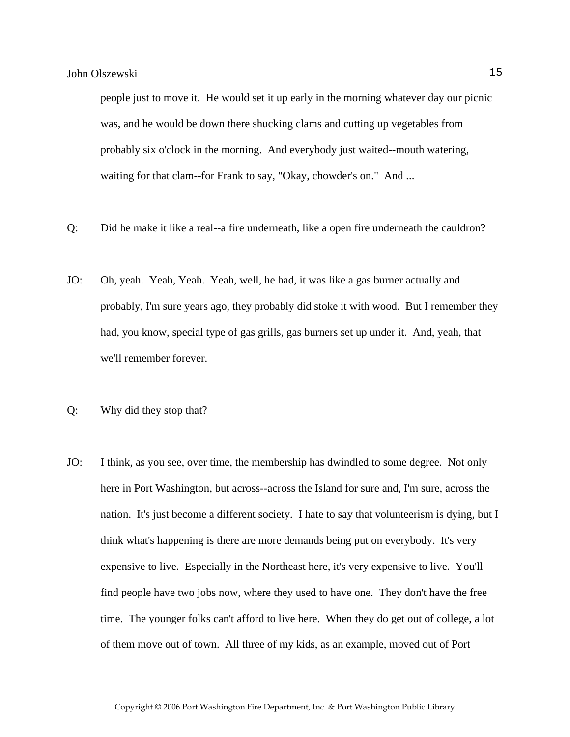people just to move it. He would set it up early in the morning whatever day our picnic was, and he would be down there shucking clams and cutting up vegetables from probably six o'clock in the morning. And everybody just waited--mouth watering, waiting for that clam--for Frank to say, "Okay, chowder's on." And ...

- Q: Did he make it like a real--a fire underneath, like a open fire underneath the cauldron?
- JO: Oh, yeah. Yeah, Yeah. Yeah, well, he had, it was like a gas burner actually and probably, I'm sure years ago, they probably did stoke it with wood. But I remember they had, you know, special type of gas grills, gas burners set up under it. And, yeah, that we'll remember forever.
- Q: Why did they stop that?
- JO: I think, as you see, over time, the membership has dwindled to some degree. Not only here in Port Washington, but across--across the Island for sure and, I'm sure, across the nation. It's just become a different society. I hate to say that volunteerism is dying, but I think what's happening is there are more demands being put on everybody. It's very expensive to live. Especially in the Northeast here, it's very expensive to live. You'll find people have two jobs now, where they used to have one. They don't have the free time. The younger folks can't afford to live here. When they do get out of college, a lot of them move out of town. All three of my kids, as an example, moved out of Port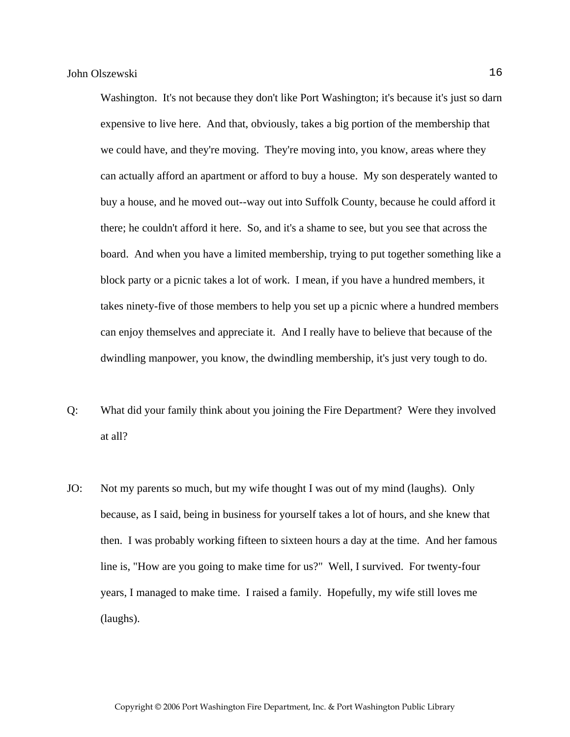Washington. It's not because they don't like Port Washington; it's because it's just so darn expensive to live here. And that, obviously, takes a big portion of the membership that we could have, and they're moving. They're moving into, you know, areas where they can actually afford an apartment or afford to buy a house. My son desperately wanted to buy a house, and he moved out--way out into Suffolk County, because he could afford it there; he couldn't afford it here. So, and it's a shame to see, but you see that across the board. And when you have a limited membership, trying to put together something like a block party or a picnic takes a lot of work. I mean, if you have a hundred members, it takes ninety-five of those members to help you set up a picnic where a hundred members can enjoy themselves and appreciate it. And I really have to believe that because of the dwindling manpower, you know, the dwindling membership, it's just very tough to do.

- Q: What did your family think about you joining the Fire Department? Were they involved at all?
- JO: Not my parents so much, but my wife thought I was out of my mind (laughs). Only because, as I said, being in business for yourself takes a lot of hours, and she knew that then. I was probably working fifteen to sixteen hours a day at the time. And her famous line is, "How are you going to make time for us?" Well, I survived. For twenty-four years, I managed to make time. I raised a family. Hopefully, my wife still loves me (laughs).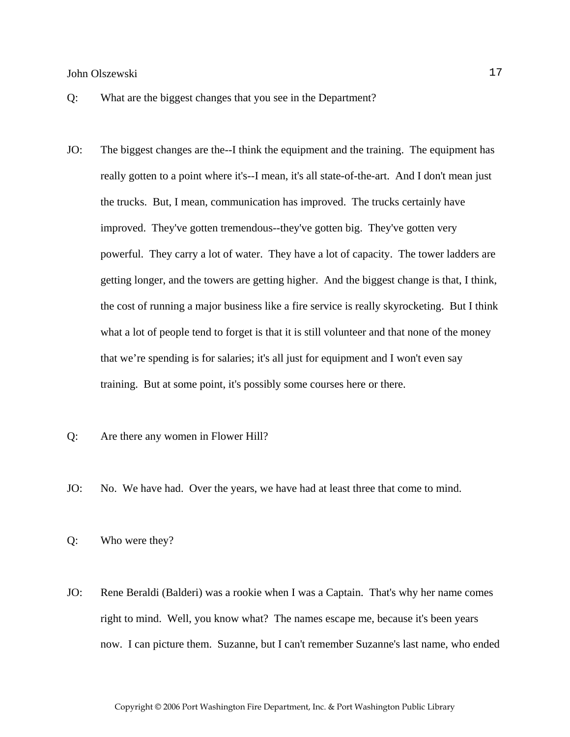- Q: What are the biggest changes that you see in the Department?
- JO: The biggest changes are the--I think the equipment and the training. The equipment has really gotten to a point where it's--I mean, it's all state-of-the-art. And I don't mean just the trucks. But, I mean, communication has improved. The trucks certainly have improved. They've gotten tremendous--they've gotten big. They've gotten very powerful. They carry a lot of water. They have a lot of capacity. The tower ladders are getting longer, and the towers are getting higher. And the biggest change is that, I think, the cost of running a major business like a fire service is really skyrocketing. But I think what a lot of people tend to forget is that it is still volunteer and that none of the money that we're spending is for salaries; it's all just for equipment and I won't even say training. But at some point, it's possibly some courses here or there.
- Q: Are there any women in Flower Hill?
- JO: No. We have had. Over the years, we have had at least three that come to mind.
- Q: Who were they?
- JO: Rene Beraldi (Balderi) was a rookie when I was a Captain. That's why her name comes right to mind. Well, you know what? The names escape me, because it's been years now. I can picture them. Suzanne, but I can't remember Suzanne's last name, who ended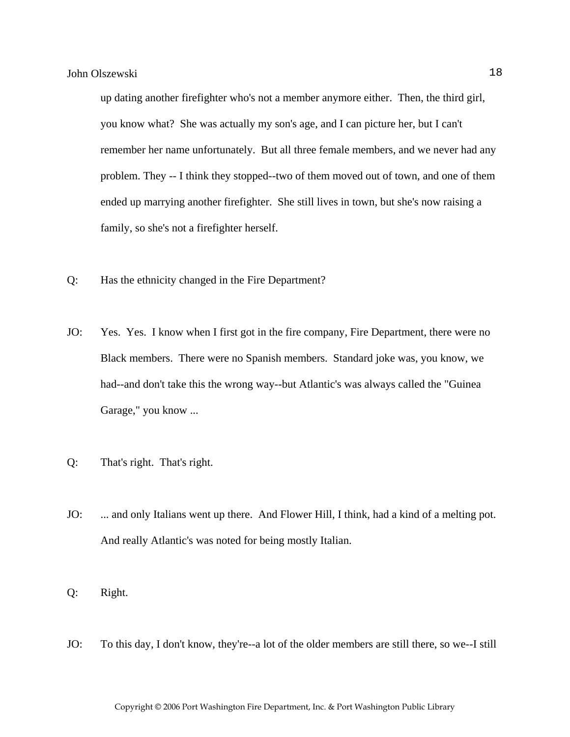up dating another firefighter who's not a member anymore either. Then, the third girl, you know what? She was actually my son's age, and I can picture her, but I can't remember her name unfortunately. But all three female members, and we never had any problem. They -- I think they stopped--two of them moved out of town, and one of them ended up marrying another firefighter. She still lives in town, but she's now raising a family, so she's not a firefighter herself.

- Q: Has the ethnicity changed in the Fire Department?
- JO: Yes. Yes. I know when I first got in the fire company, Fire Department, there were no Black members. There were no Spanish members. Standard joke was, you know, we had--and don't take this the wrong way--but Atlantic's was always called the "Guinea Garage," you know ...
- Q: That's right. That's right.
- JO: ... and only Italians went up there. And Flower Hill, I think, had a kind of a melting pot. And really Atlantic's was noted for being mostly Italian.
- Q: Right.
- JO: To this day, I don't know, they're--a lot of the older members are still there, so we--I still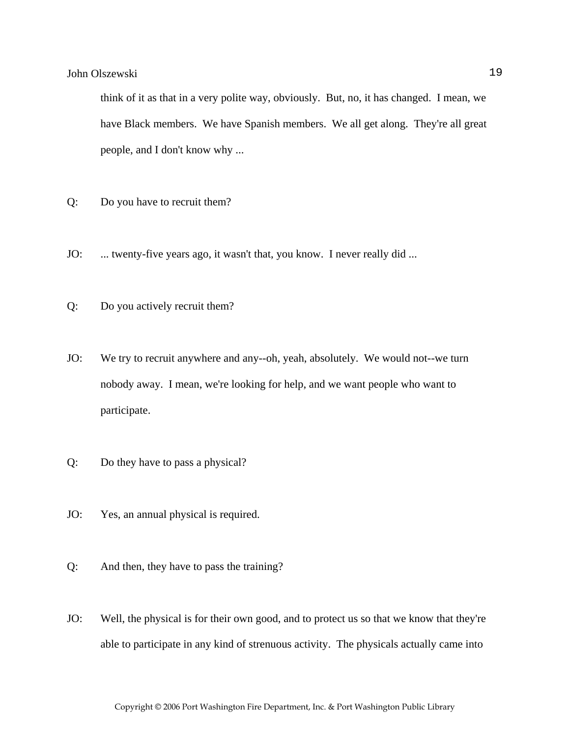think of it as that in a very polite way, obviously. But, no, it has changed. I mean, we have Black members. We have Spanish members. We all get along. They're all great people, and I don't know why ...

- Q: Do you have to recruit them?
- JO: ... twenty-five years ago, it wasn't that, you know. I never really did ...
- Q: Do you actively recruit them?
- JO: We try to recruit anywhere and any--oh, yeah, absolutely. We would not--we turn nobody away. I mean, we're looking for help, and we want people who want to participate.
- Q: Do they have to pass a physical?
- JO: Yes, an annual physical is required.
- Q: And then, they have to pass the training?
- JO: Well, the physical is for their own good, and to protect us so that we know that they're able to participate in any kind of strenuous activity. The physicals actually came into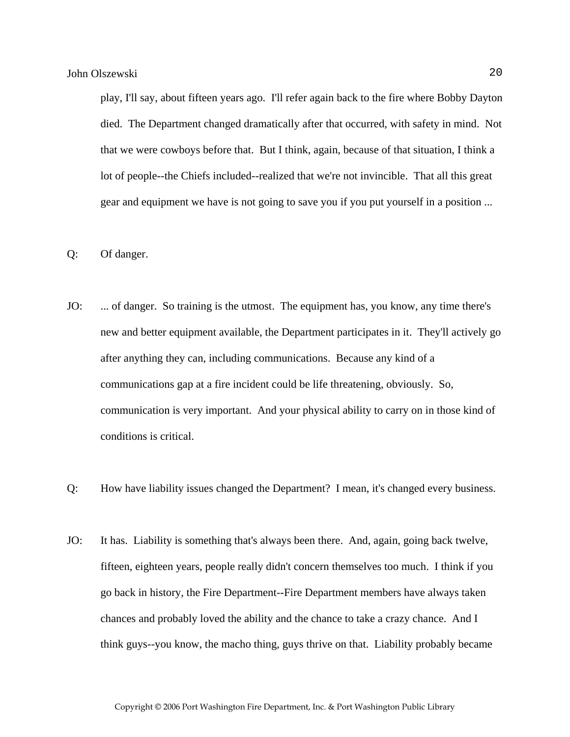play, I'll say, about fifteen years ago. I'll refer again back to the fire where Bobby Dayton died. The Department changed dramatically after that occurred, with safety in mind. Not that we were cowboys before that. But I think, again, because of that situation, I think a lot of people--the Chiefs included--realized that we're not invincible. That all this great gear and equipment we have is not going to save you if you put yourself in a position ...

- Q: Of danger.
- JO: ... of danger. So training is the utmost. The equipment has, you know, any time there's new and better equipment available, the Department participates in it. They'll actively go after anything they can, including communications. Because any kind of a communications gap at a fire incident could be life threatening, obviously. So, communication is very important. And your physical ability to carry on in those kind of conditions is critical.
- Q: How have liability issues changed the Department? I mean, it's changed every business.
- JO: It has. Liability is something that's always been there. And, again, going back twelve, fifteen, eighteen years, people really didn't concern themselves too much. I think if you go back in history, the Fire Department--Fire Department members have always taken chances and probably loved the ability and the chance to take a crazy chance. And I think guys--you know, the macho thing, guys thrive on that. Liability probably became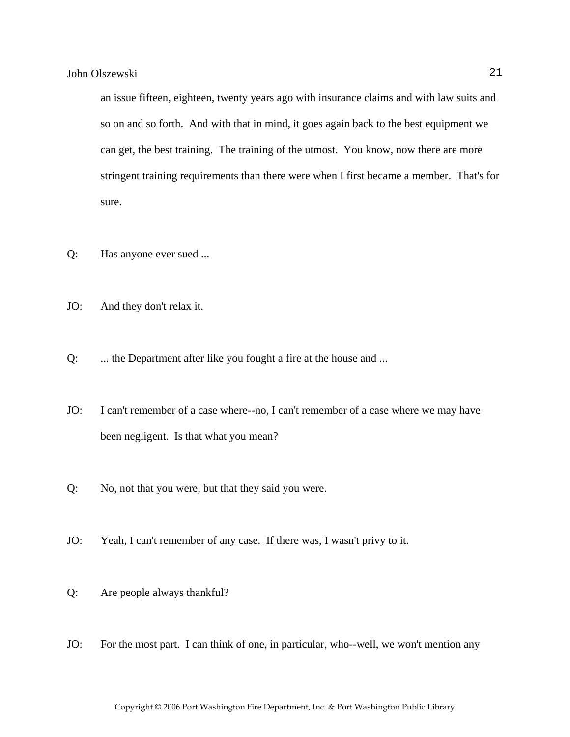an issue fifteen, eighteen, twenty years ago with insurance claims and with law suits and so on and so forth. And with that in mind, it goes again back to the best equipment we can get, the best training. The training of the utmost. You know, now there are more stringent training requirements than there were when I first became a member. That's for sure.

- Q: Has anyone ever sued ...
- JO: And they don't relax it.
- Q: ... the Department after like you fought a fire at the house and ...
- JO: I can't remember of a case where--no, I can't remember of a case where we may have been negligent. Is that what you mean?
- Q: No, not that you were, but that they said you were.
- JO: Yeah, I can't remember of any case. If there was, I wasn't privy to it.
- Q: Are people always thankful?
- JO: For the most part. I can think of one, in particular, who--well, we won't mention any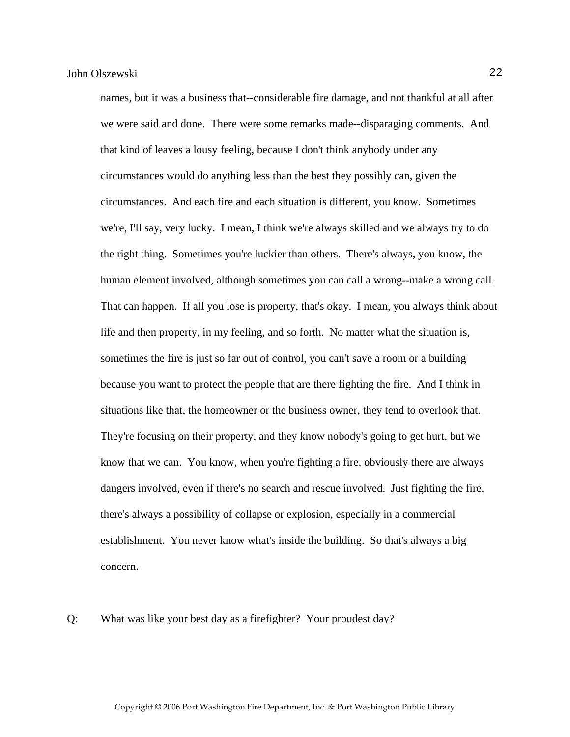names, but it was a business that--considerable fire damage, and not thankful at all after we were said and done. There were some remarks made--disparaging comments. And that kind of leaves a lousy feeling, because I don't think anybody under any circumstances would do anything less than the best they possibly can, given the circumstances. And each fire and each situation is different, you know. Sometimes we're, I'll say, very lucky. I mean, I think we're always skilled and we always try to do the right thing. Sometimes you're luckier than others. There's always, you know, the human element involved, although sometimes you can call a wrong--make a wrong call. That can happen. If all you lose is property, that's okay. I mean, you always think about life and then property, in my feeling, and so forth. No matter what the situation is, sometimes the fire is just so far out of control, you can't save a room or a building because you want to protect the people that are there fighting the fire. And I think in situations like that, the homeowner or the business owner, they tend to overlook that. They're focusing on their property, and they know nobody's going to get hurt, but we know that we can. You know, when you're fighting a fire, obviously there are always dangers involved, even if there's no search and rescue involved. Just fighting the fire, there's always a possibility of collapse or explosion, especially in a commercial establishment. You never know what's inside the building. So that's always a big concern.

Q: What was like your best day as a firefighter? Your proudest day?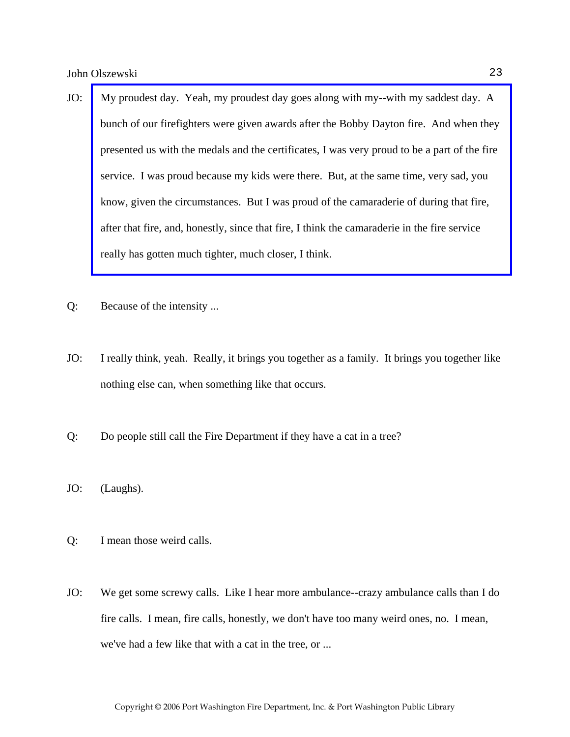- JO: [My proudest day. Yeah, my proudest day goes along with my--with my saddest day. A](http://www.pwfdhistory.com/trans/olszewskij_trans/scrapbk084_pz_web.pdf)  bunch of our firefighters were given awards after the Bobby Dayton fire. And when they presented us with the medals and the certificates, I was very proud to be a part of the fire service. I was proud because my kids were there. But, at the same time, very sad, you know, given the circumstances. But I was proud of the camaraderie of during that fire, after that fire, and, honestly, since that fire, I think the camaraderie in the fire service really has gotten much tighter, much closer, I think.
- Q: Because of the intensity ...
- JO: I really think, yeah. Really, it brings you together as a family. It brings you together like nothing else can, when something like that occurs.
- Q: Do people still call the Fire Department if they have a cat in a tree?
- JO: (Laughs).
- Q: I mean those weird calls.
- JO: We get some screwy calls. Like I hear more ambulance--crazy ambulance calls than I do fire calls. I mean, fire calls, honestly, we don't have too many weird ones, no. I mean, we've had a few like that with a cat in the tree, or ...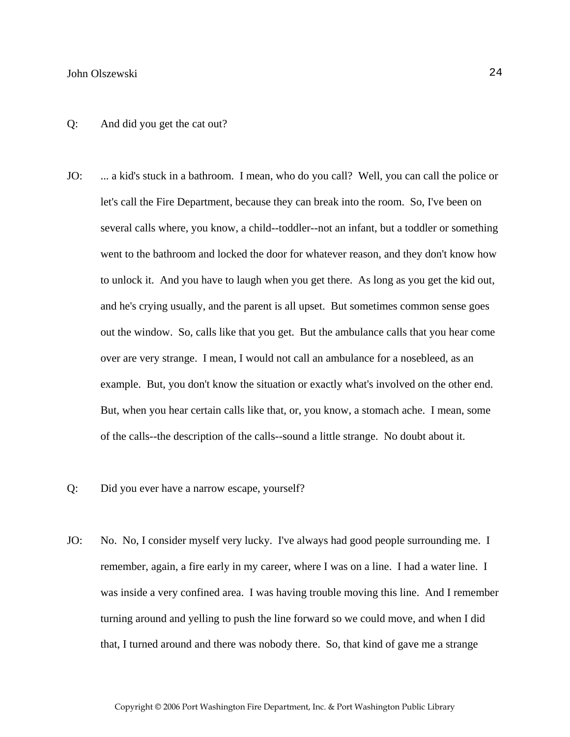#### Q: And did you get the cat out?

- JO: ... a kid's stuck in a bathroom. I mean, who do you call? Well, you can call the police or let's call the Fire Department, because they can break into the room. So, I've been on several calls where, you know, a child--toddler--not an infant, but a toddler or something went to the bathroom and locked the door for whatever reason, and they don't know how to unlock it. And you have to laugh when you get there. As long as you get the kid out, and he's crying usually, and the parent is all upset. But sometimes common sense goes out the window. So, calls like that you get. But the ambulance calls that you hear come over are very strange. I mean, I would not call an ambulance for a nosebleed, as an example. But, you don't know the situation or exactly what's involved on the other end. But, when you hear certain calls like that, or, you know, a stomach ache. I mean, some of the calls--the description of the calls--sound a little strange. No doubt about it.
- Q: Did you ever have a narrow escape, yourself?
- JO: No. No, I consider myself very lucky. I've always had good people surrounding me. I remember, again, a fire early in my career, where I was on a line. I had a water line. I was inside a very confined area. I was having trouble moving this line. And I remember turning around and yelling to push the line forward so we could move, and when I did that, I turned around and there was nobody there. So, that kind of gave me a strange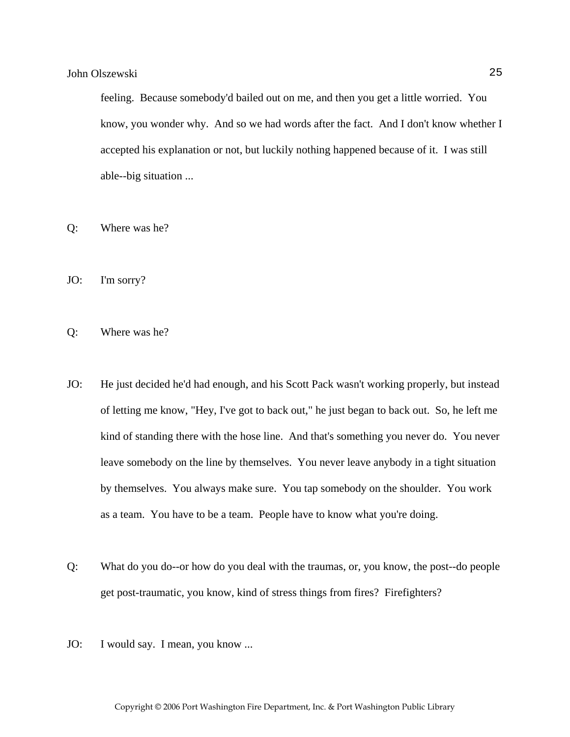feeling. Because somebody'd bailed out on me, and then you get a little worried. You know, you wonder why. And so we had words after the fact. And I don't know whether I accepted his explanation or not, but luckily nothing happened because of it. I was still able--big situation ...

- Q: Where was he?
- JO: I'm sorry?
- Q: Where was he?
- JO: He just decided he'd had enough, and his Scott Pack wasn't working properly, but instead of letting me know, "Hey, I've got to back out," he just began to back out. So, he left me kind of standing there with the hose line. And that's something you never do. You never leave somebody on the line by themselves. You never leave anybody in a tight situation by themselves. You always make sure. You tap somebody on the shoulder. You work as a team. You have to be a team. People have to know what you're doing.
- Q: What do you do--or how do you deal with the traumas, or, you know, the post--do people get post-traumatic, you know, kind of stress things from fires? Firefighters?
- JO: I would say. I mean, you know ...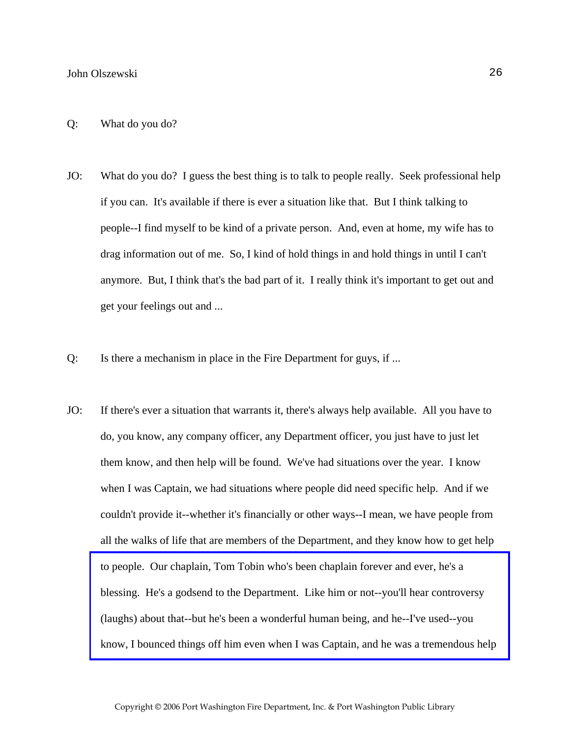- JO: What do you do? I guess the best thing is to talk to people really. Seek professional help if you can. It's available if there is ever a situation like that. But I think talking to people--I find myself to be kind of a private person. And, even at home, my wife has to drag information out of me. So, I kind of hold things in and hold things in until I can't anymore. But, I think that's the bad part of it. I really think it's important to get out and get your feelings out and ...
- Q: Is there a mechanism in place in the Fire Department for guys, if ...
- JO: If there's ever a situation that warrants it, there's always help available. All you have to do, you know, any company officer, any Department officer, you just have to just let them know, and then help will be found. We've had situations over the year. I know when I was Captain, we had situations where people did need specific help. And if we couldn't provide it--whether it's financially or other ways--I mean, we have people from all the walks of life that are members of the Department, and they know how to get help to people. Our chaplain, Tom Tobin who's been chaplain forever and ever, he's a blessing. He's a godsend to the Department. Like him or not--you'll hear controversy (laughs) about that--but he's been a wonderful human being, and he--I've used--you [know, I bounced things off him even when I was Captain, and he was a tremendous help](http://www.pwfdhistory.com/trans/olszewskij_trans/firefoc900322_pz_web.jpg)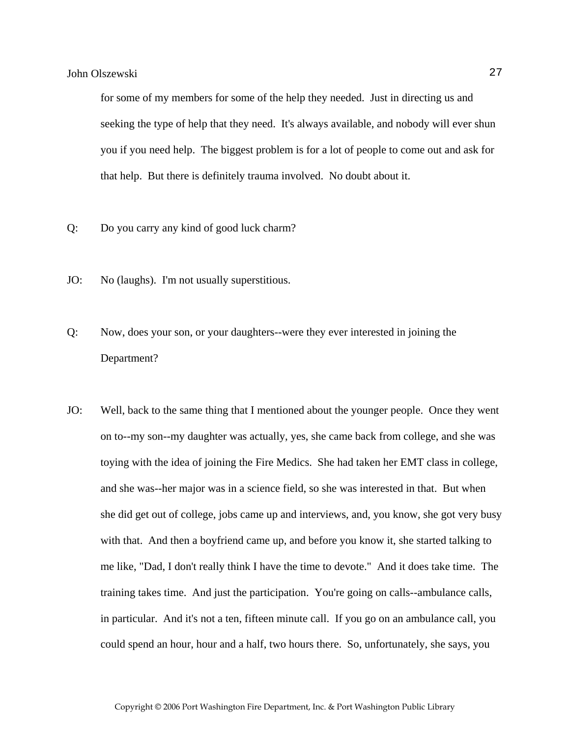for some of my members for some of the help they needed. Just in directing us and seeking the type of help that they need. It's always available, and nobody will ever shun you if you need help. The biggest problem is for a lot of people to come out and ask for that help. But there is definitely trauma involved. No doubt about it.

- Q: Do you carry any kind of good luck charm?
- JO: No (laughs). I'm not usually superstitious.
- Q: Now, does your son, or your daughters--were they ever interested in joining the Department?
- JO: Well, back to the same thing that I mentioned about the younger people. Once they went on to--my son--my daughter was actually, yes, she came back from college, and she was toying with the idea of joining the Fire Medics. She had taken her EMT class in college, and she was--her major was in a science field, so she was interested in that. But when she did get out of college, jobs came up and interviews, and, you know, she got very busy with that. And then a boyfriend came up, and before you know it, she started talking to me like, "Dad, I don't really think I have the time to devote." And it does take time. The training takes time. And just the participation. You're going on calls--ambulance calls, in particular. And it's not a ten, fifteen minute call. If you go on an ambulance call, you could spend an hour, hour and a half, two hours there. So, unfortunately, she says, you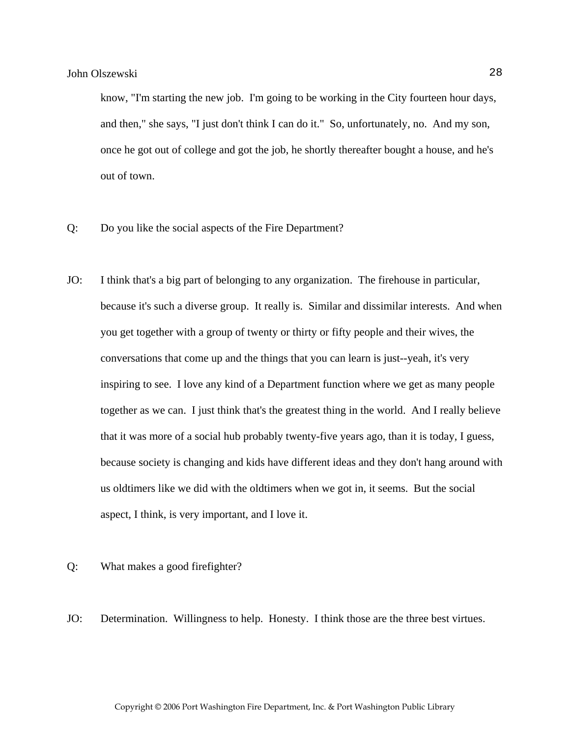know, "I'm starting the new job. I'm going to be working in the City fourteen hour days, and then," she says, "I just don't think I can do it." So, unfortunately, no. And my son, once he got out of college and got the job, he shortly thereafter bought a house, and he's out of town.

- Q: Do you like the social aspects of the Fire Department?
- JO: I think that's a big part of belonging to any organization. The firehouse in particular, because it's such a diverse group. It really is. Similar and dissimilar interests. And when you get together with a group of twenty or thirty or fifty people and their wives, the conversations that come up and the things that you can learn is just--yeah, it's very inspiring to see. I love any kind of a Department function where we get as many people together as we can. I just think that's the greatest thing in the world. And I really believe that it was more of a social hub probably twenty-five years ago, than it is today, I guess, because society is changing and kids have different ideas and they don't hang around with us oldtimers like we did with the oldtimers when we got in, it seems. But the social aspect, I think, is very important, and I love it.
- Q: What makes a good firefighter?
- JO: Determination. Willingness to help. Honesty. I think those are the three best virtues.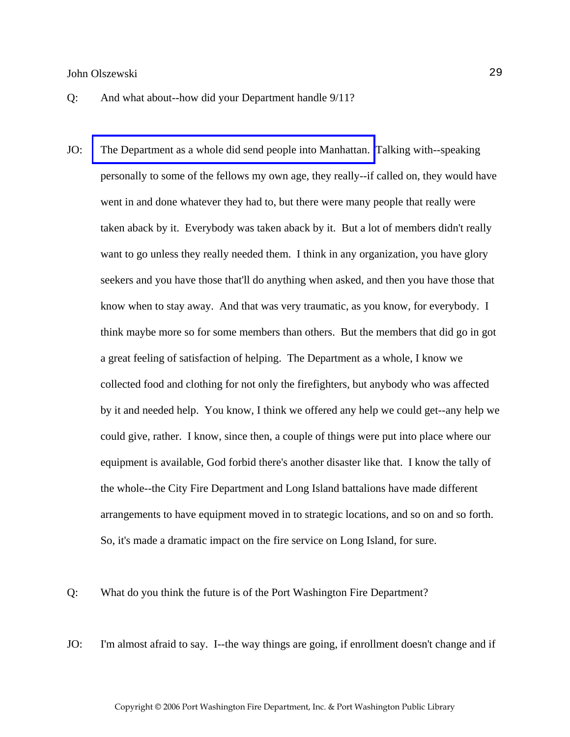- Q: And what about--how did your Department handle 9/11?
- JO: [The Department as a whole did send people into Manhattan.](http://www.pwfdhistory.com/trans/olszewskij_trans/pwfd_911002_web.jpg) Talking with--speaking personally to some of the fellows my own age, they really--if called on, they would have went in and done whatever they had to, but there were many people that really were taken aback by it. Everybody was taken aback by it. But a lot of members didn't really want to go unless they really needed them. I think in any organization, you have glory seekers and you have those that'll do anything when asked, and then you have those that know when to stay away. And that was very traumatic, as you know, for everybody. I think maybe more so for some members than others. But the members that did go in got a great feeling of satisfaction of helping. The Department as a whole, I know we collected food and clothing for not only the firefighters, but anybody who was affected by it and needed help. You know, I think we offered any help we could get--any help we could give, rather. I know, since then, a couple of things were put into place where our equipment is available, God forbid there's another disaster like that. I know the tally of the whole--the City Fire Department and Long Island battalions have made different arrangements to have equipment moved in to strategic locations, and so on and so forth. So, it's made a dramatic impact on the fire service on Long Island, for sure.
- Q: What do you think the future is of the Port Washington Fire Department?
- JO: I'm almost afraid to say. I--the way things are going, if enrollment doesn't change and if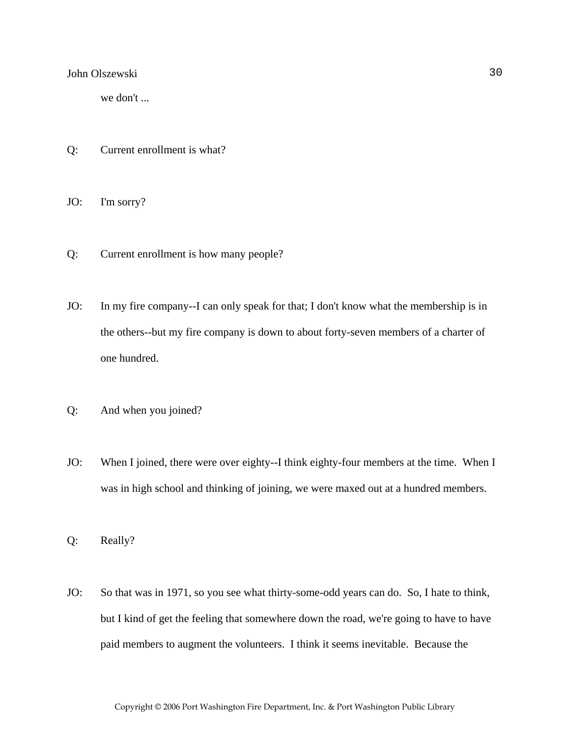we don't ...

Q: Current enrollment is what?

JO: I'm sorry?

- Q: Current enrollment is how many people?
- JO: In my fire company--I can only speak for that; I don't know what the membership is in the others--but my fire company is down to about forty-seven members of a charter of one hundred.
- Q: And when you joined?
- JO: When I joined, there were over eighty--I think eighty-four members at the time. When I was in high school and thinking of joining, we were maxed out at a hundred members.

Q: Really?

JO: So that was in 1971, so you see what thirty-some-odd years can do. So, I hate to think, but I kind of get the feeling that somewhere down the road, we're going to have to have paid members to augment the volunteers. I think it seems inevitable. Because the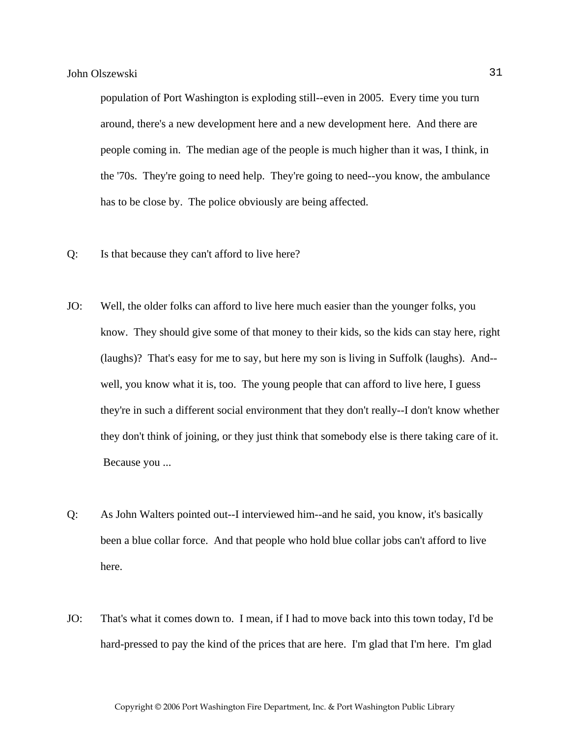population of Port Washington is exploding still--even in 2005. Every time you turn around, there's a new development here and a new development here. And there are people coming in. The median age of the people is much higher than it was, I think, in the '70s. They're going to need help. They're going to need--you know, the ambulance has to be close by. The police obviously are being affected.

- Q: Is that because they can't afford to live here?
- JO: Well, the older folks can afford to live here much easier than the younger folks, you know. They should give some of that money to their kids, so the kids can stay here, right (laughs)? That's easy for me to say, but here my son is living in Suffolk (laughs). And- well, you know what it is, too. The young people that can afford to live here, I guess they're in such a different social environment that they don't really--I don't know whether they don't think of joining, or they just think that somebody else is there taking care of it. Because you ...
- Q: As John Walters pointed out--I interviewed him--and he said, you know, it's basically been a blue collar force. And that people who hold blue collar jobs can't afford to live here.
- JO: That's what it comes down to. I mean, if I had to move back into this town today, I'd be hard-pressed to pay the kind of the prices that are here. I'm glad that I'm here. I'm glad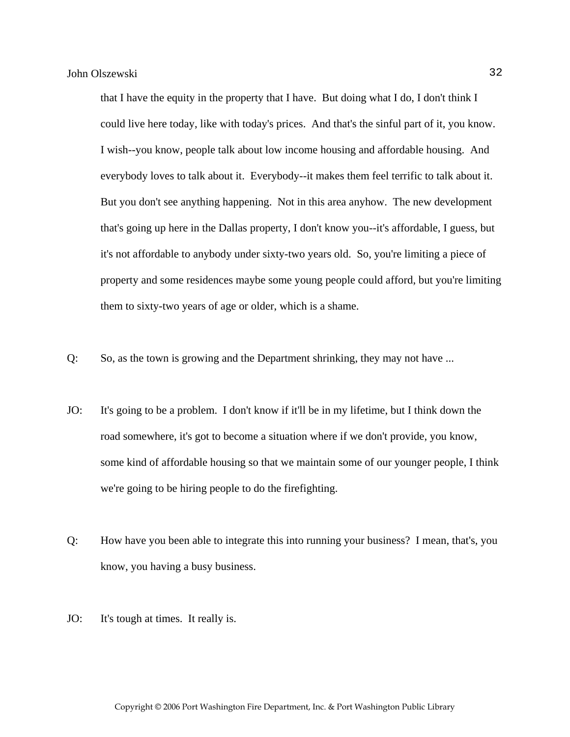that I have the equity in the property that I have. But doing what I do, I don't think I could live here today, like with today's prices. And that's the sinful part of it, you know. I wish--you know, people talk about low income housing and affordable housing. And everybody loves to talk about it. Everybody--it makes them feel terrific to talk about it. But you don't see anything happening. Not in this area anyhow. The new development that's going up here in the Dallas property, I don't know you--it's affordable, I guess, but it's not affordable to anybody under sixty-two years old. So, you're limiting a piece of property and some residences maybe some young people could afford, but you're limiting them to sixty-two years of age or older, which is a shame.

- Q: So, as the town is growing and the Department shrinking, they may not have ...
- JO: It's going to be a problem. I don't know if it'll be in my lifetime, but I think down the road somewhere, it's got to become a situation where if we don't provide, you know, some kind of affordable housing so that we maintain some of our younger people, I think we're going to be hiring people to do the firefighting.
- Q: How have you been able to integrate this into running your business? I mean, that's, you know, you having a busy business.
- JO: It's tough at times. It really is.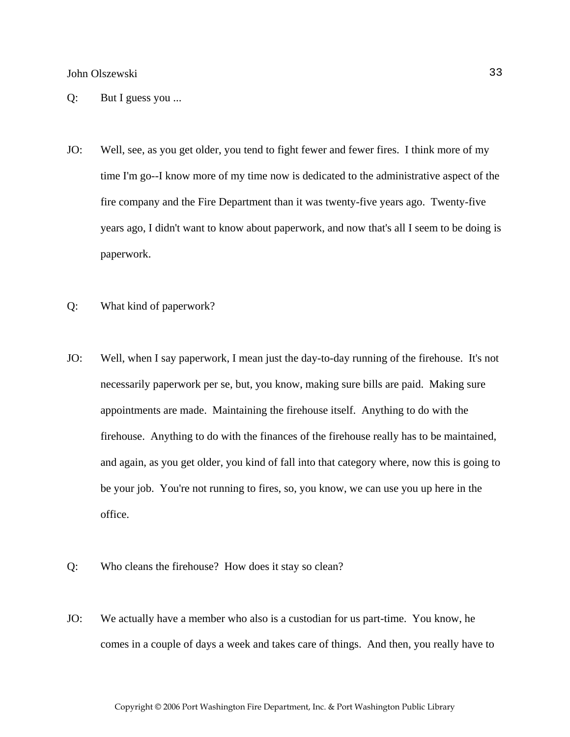- Q: But I guess you ...
- JO: Well, see, as you get older, you tend to fight fewer and fewer fires. I think more of my time I'm go--I know more of my time now is dedicated to the administrative aspect of the fire company and the Fire Department than it was twenty-five years ago. Twenty-five years ago, I didn't want to know about paperwork, and now that's all I seem to be doing is paperwork.
- Q: What kind of paperwork?
- JO: Well, when I say paperwork, I mean just the day-to-day running of the firehouse. It's not necessarily paperwork per se, but, you know, making sure bills are paid. Making sure appointments are made. Maintaining the firehouse itself. Anything to do with the firehouse. Anything to do with the finances of the firehouse really has to be maintained, and again, as you get older, you kind of fall into that category where, now this is going to be your job. You're not running to fires, so, you know, we can use you up here in the office.
- Q: Who cleans the firehouse? How does it stay so clean?
- JO: We actually have a member who also is a custodian for us part-time. You know, he comes in a couple of days a week and takes care of things. And then, you really have to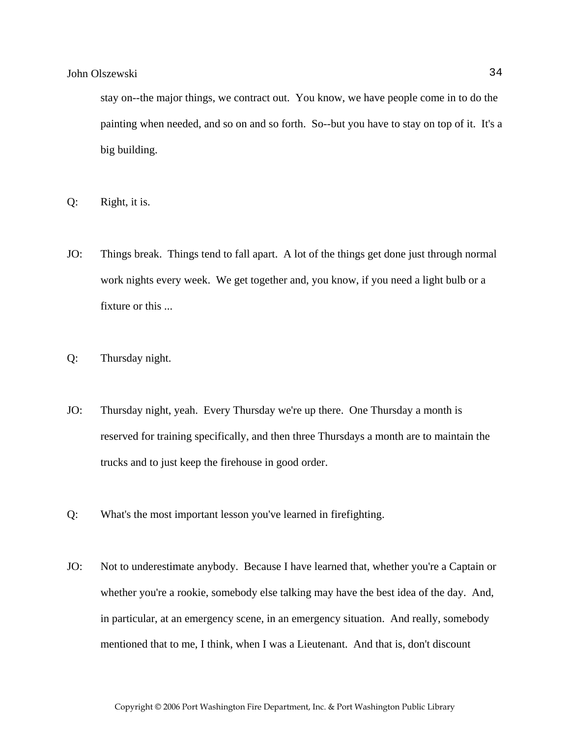stay on--the major things, we contract out. You know, we have people come in to do the painting when needed, and so on and so forth. So--but you have to stay on top of it. It's a big building.

- Q: Right, it is.
- JO: Things break. Things tend to fall apart. A lot of the things get done just through normal work nights every week. We get together and, you know, if you need a light bulb or a fixture or this ...
- Q: Thursday night.
- JO: Thursday night, yeah. Every Thursday we're up there. One Thursday a month is reserved for training specifically, and then three Thursdays a month are to maintain the trucks and to just keep the firehouse in good order.
- Q: What's the most important lesson you've learned in firefighting.
- JO: Not to underestimate anybody. Because I have learned that, whether you're a Captain or whether you're a rookie, somebody else talking may have the best idea of the day. And, in particular, at an emergency scene, in an emergency situation. And really, somebody mentioned that to me, I think, when I was a Lieutenant. And that is, don't discount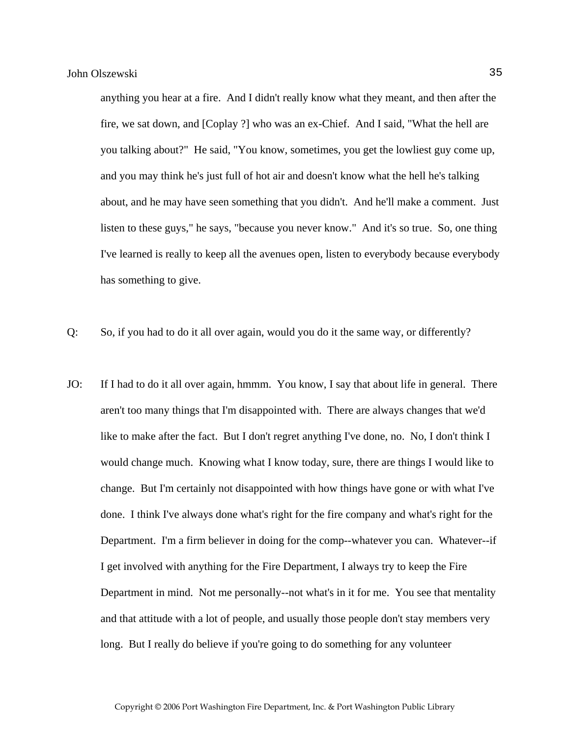anything you hear at a fire. And I didn't really know what they meant, and then after the fire, we sat down, and [Coplay ?] who was an ex-Chief. And I said, "What the hell are you talking about?" He said, "You know, sometimes, you get the lowliest guy come up, and you may think he's just full of hot air and doesn't know what the hell he's talking about, and he may have seen something that you didn't. And he'll make a comment. Just listen to these guys," he says, "because you never know." And it's so true. So, one thing I've learned is really to keep all the avenues open, listen to everybody because everybody has something to give.

Q: So, if you had to do it all over again, would you do it the same way, or differently?

JO: If I had to do it all over again, hmmm. You know, I say that about life in general. There aren't too many things that I'm disappointed with. There are always changes that we'd like to make after the fact. But I don't regret anything I've done, no. No, I don't think I would change much. Knowing what I know today, sure, there are things I would like to change. But I'm certainly not disappointed with how things have gone or with what I've done. I think I've always done what's right for the fire company and what's right for the Department. I'm a firm believer in doing for the comp--whatever you can. Whatever--if I get involved with anything for the Fire Department, I always try to keep the Fire Department in mind. Not me personally--not what's in it for me. You see that mentality and that attitude with a lot of people, and usually those people don't stay members very long. But I really do believe if you're going to do something for any volunteer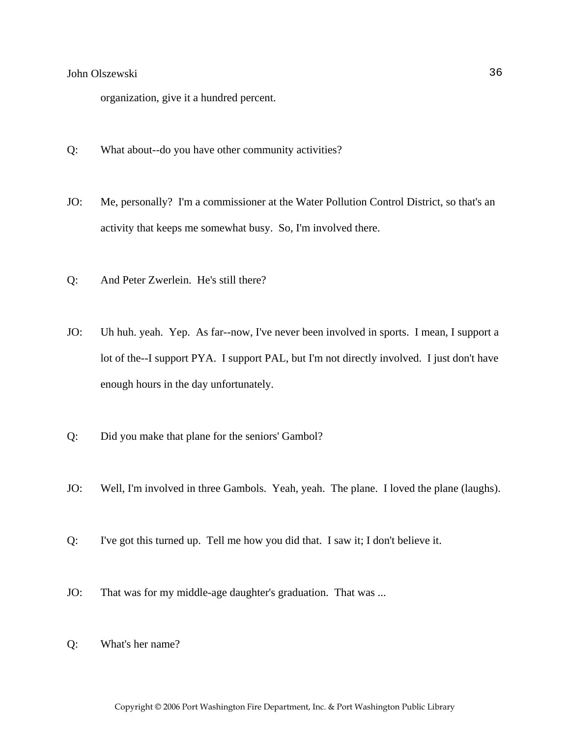organization, give it a hundred percent.

- Q: What about--do you have other community activities?
- JO: Me, personally? I'm a commissioner at the Water Pollution Control District, so that's an activity that keeps me somewhat busy. So, I'm involved there.
- Q: And Peter Zwerlein. He's still there?
- JO: Uh huh. yeah. Yep. As far--now, I've never been involved in sports. I mean, I support a lot of the--I support PYA. I support PAL, but I'm not directly involved. I just don't have enough hours in the day unfortunately.
- Q: Did you make that plane for the seniors' Gambol?
- JO: Well, I'm involved in three Gambols. Yeah, yeah. The plane. I loved the plane (laughs).
- Q: I've got this turned up. Tell me how you did that. I saw it; I don't believe it.
- JO: That was for my middle-age daughter's graduation. That was ...
- Q: What's her name?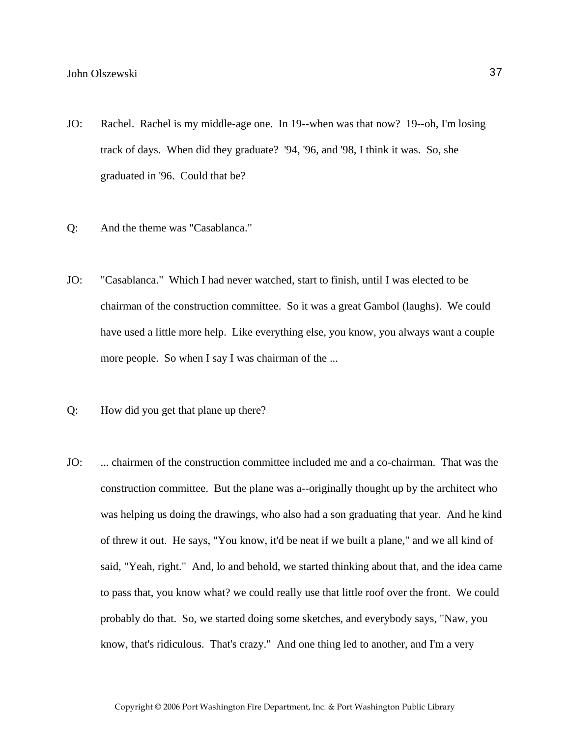- JO: Rachel. Rachel is my middle-age one. In 19--when was that now? 19--oh, I'm losing track of days. When did they graduate? '94, '96, and '98, I think it was. So, she graduated in '96. Could that be?
- Q: And the theme was "Casablanca."
- JO: "Casablanca." Which I had never watched, start to finish, until I was elected to be chairman of the construction committee. So it was a great Gambol (laughs). We could have used a little more help. Like everything else, you know, you always want a couple more people. So when I say I was chairman of the ...
- Q: How did you get that plane up there?
- JO: ... chairmen of the construction committee included me and a co-chairman. That was the construction committee. But the plane was a--originally thought up by the architect who was helping us doing the drawings, who also had a son graduating that year. And he kind of threw it out. He says, "You know, it'd be neat if we built a plane," and we all kind of said, "Yeah, right." And, lo and behold, we started thinking about that, and the idea came to pass that, you know what? we could really use that little roof over the front. We could probably do that. So, we started doing some sketches, and everybody says, "Naw, you know, that's ridiculous. That's crazy." And one thing led to another, and I'm a very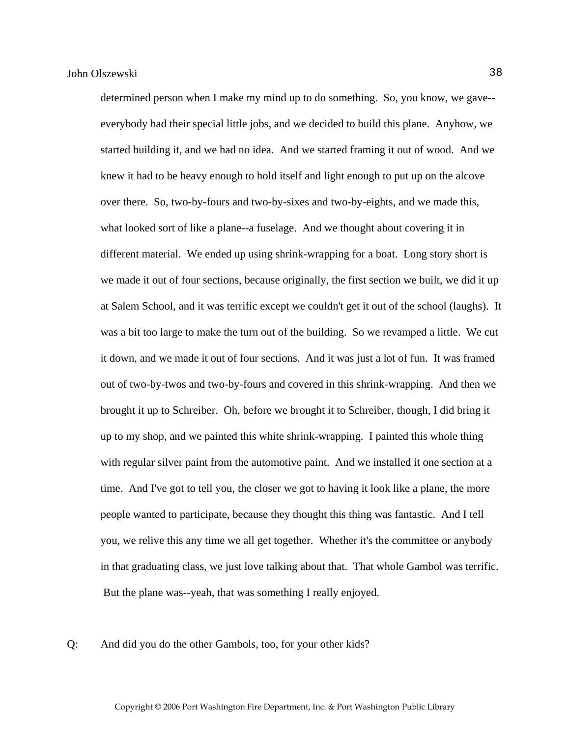determined person when I make my mind up to do something. So, you know, we gave- everybody had their special little jobs, and we decided to build this plane. Anyhow, we started building it, and we had no idea. And we started framing it out of wood. And we knew it had to be heavy enough to hold itself and light enough to put up on the alcove over there. So, two-by-fours and two-by-sixes and two-by-eights, and we made this, what looked sort of like a plane--a fuselage. And we thought about covering it in different material. We ended up using shrink-wrapping for a boat. Long story short is we made it out of four sections, because originally, the first section we built, we did it up at Salem School, and it was terrific except we couldn't get it out of the school (laughs). It was a bit too large to make the turn out of the building. So we revamped a little. We cut it down, and we made it out of four sections. And it was just a lot of fun. It was framed out of two-by-twos and two-by-fours and covered in this shrink-wrapping. And then we brought it up to Schreiber. Oh, before we brought it to Schreiber, though, I did bring it up to my shop, and we painted this white shrink-wrapping. I painted this whole thing with regular silver paint from the automotive paint. And we installed it one section at a time. And I've got to tell you, the closer we got to having it look like a plane, the more people wanted to participate, because they thought this thing was fantastic. And I tell you, we relive this any time we all get together. Whether it's the committee or anybody in that graduating class, we just love talking about that. That whole Gambol was terrific. But the plane was--yeah, that was something I really enjoyed.

Q: And did you do the other Gambols, too, for your other kids?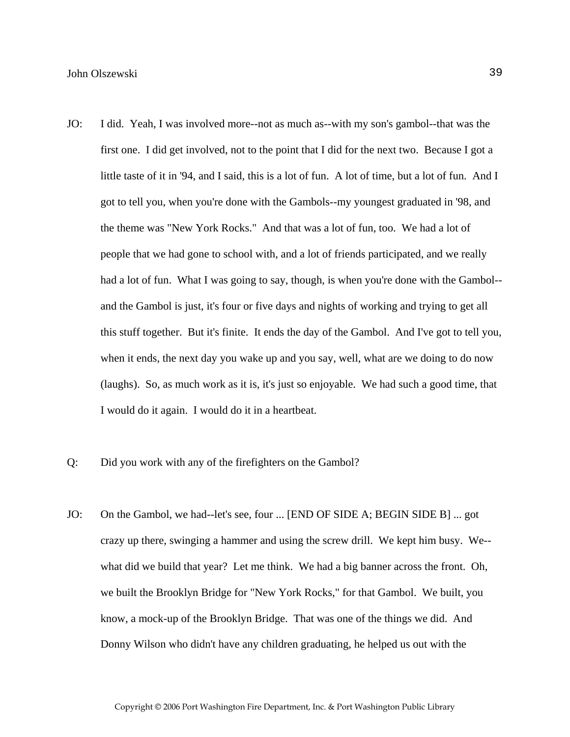- JO: I did. Yeah, I was involved more--not as much as--with my son's gambol--that was the first one. I did get involved, not to the point that I did for the next two. Because I got a little taste of it in '94, and I said, this is a lot of fun. A lot of time, but a lot of fun. And I got to tell you, when you're done with the Gambols--my youngest graduated in '98, and the theme was "New York Rocks." And that was a lot of fun, too. We had a lot of people that we had gone to school with, and a lot of friends participated, and we really had a lot of fun. What I was going to say, though, is when you're done with the Gambol-and the Gambol is just, it's four or five days and nights of working and trying to get all this stuff together. But it's finite. It ends the day of the Gambol. And I've got to tell you, when it ends, the next day you wake up and you say, well, what are we doing to do now (laughs). So, as much work as it is, it's just so enjoyable. We had such a good time, that I would do it again. I would do it in a heartbeat.
- Q: Did you work with any of the firefighters on the Gambol?
- JO: On the Gambol, we had--let's see, four ... [END OF SIDE A; BEGIN SIDE B] ... got crazy up there, swinging a hammer and using the screw drill. We kept him busy. We- what did we build that year? Let me think. We had a big banner across the front. Oh, we built the Brooklyn Bridge for "New York Rocks," for that Gambol. We built, you know, a mock-up of the Brooklyn Bridge. That was one of the things we did. And Donny Wilson who didn't have any children graduating, he helped us out with the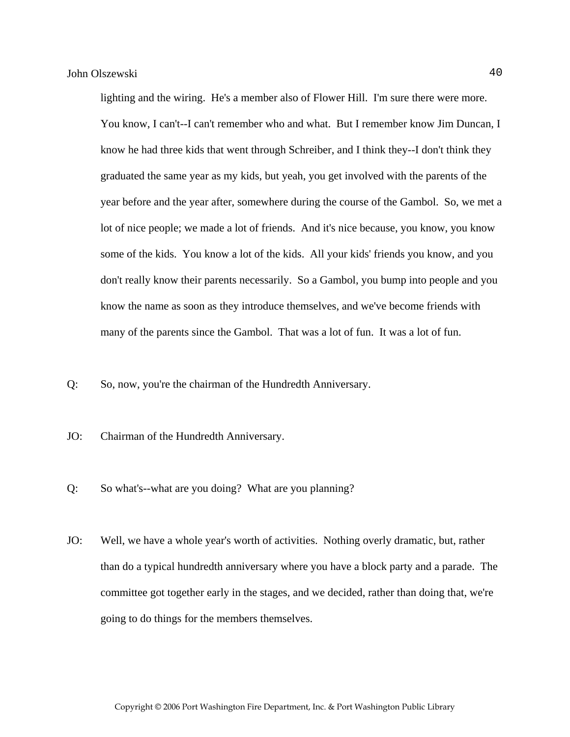lighting and the wiring. He's a member also of Flower Hill. I'm sure there were more. You know, I can't--I can't remember who and what. But I remember know Jim Duncan, I know he had three kids that went through Schreiber, and I think they--I don't think they graduated the same year as my kids, but yeah, you get involved with the parents of the year before and the year after, somewhere during the course of the Gambol. So, we met a lot of nice people; we made a lot of friends. And it's nice because, you know, you know some of the kids. You know a lot of the kids. All your kids' friends you know, and you don't really know their parents necessarily. So a Gambol, you bump into people and you know the name as soon as they introduce themselves, and we've become friends with many of the parents since the Gambol. That was a lot of fun. It was a lot of fun.

Q: So, now, you're the chairman of the Hundredth Anniversary.

- JO: Chairman of the Hundredth Anniversary.
- Q: So what's--what are you doing? What are you planning?
- JO: Well, we have a whole year's worth of activities. Nothing overly dramatic, but, rather than do a typical hundredth anniversary where you have a block party and a parade. The committee got together early in the stages, and we decided, rather than doing that, we're going to do things for the members themselves.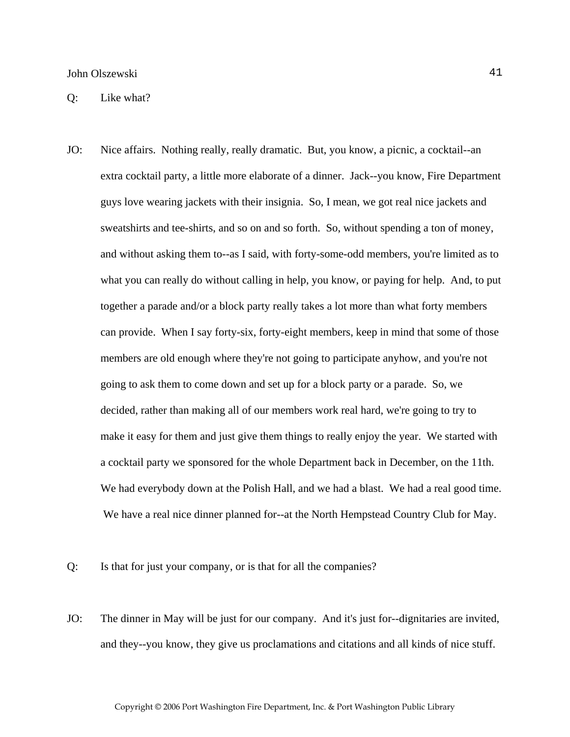JO: Nice affairs. Nothing really, really dramatic. But, you know, a picnic, a cocktail--an extra cocktail party, a little more elaborate of a dinner. Jack--you know, Fire Department guys love wearing jackets with their insignia. So, I mean, we got real nice jackets and sweatshirts and tee-shirts, and so on and so forth. So, without spending a ton of money, and without asking them to--as I said, with forty-some-odd members, you're limited as to what you can really do without calling in help, you know, or paying for help. And, to put together a parade and/or a block party really takes a lot more than what forty members can provide. When I say forty-six, forty-eight members, keep in mind that some of those members are old enough where they're not going to participate anyhow, and you're not going to ask them to come down and set up for a block party or a parade. So, we decided, rather than making all of our members work real hard, we're going to try to make it easy for them and just give them things to really enjoy the year. We started with a cocktail party we sponsored for the whole Department back in December, on the 11th. We had everybody down at the Polish Hall, and we had a blast. We had a real good time. We have a real nice dinner planned for--at the North Hempstead Country Club for May.

Q: Is that for just your company, or is that for all the companies?

JO: The dinner in May will be just for our company. And it's just for--dignitaries are invited, and they--you know, they give us proclamations and citations and all kinds of nice stuff.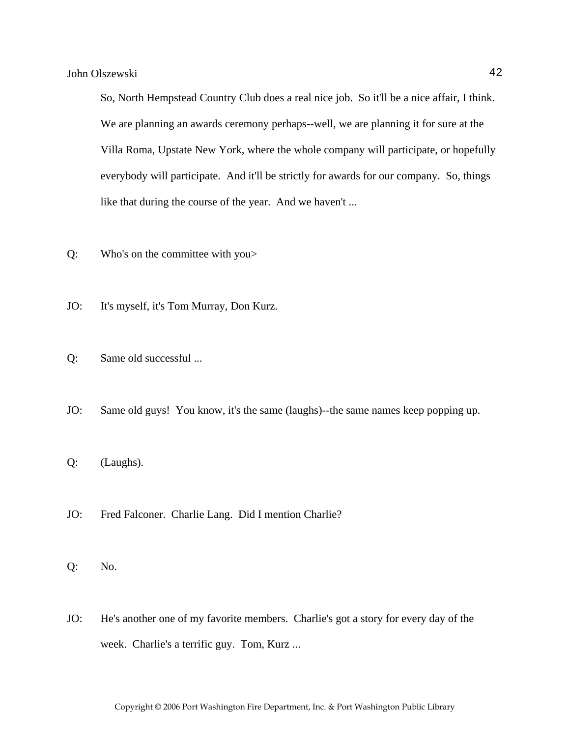So, North Hempstead Country Club does a real nice job. So it'll be a nice affair, I think. We are planning an awards ceremony perhaps--well, we are planning it for sure at the Villa Roma, Upstate New York, where the whole company will participate, or hopefully everybody will participate. And it'll be strictly for awards for our company. So, things like that during the course of the year. And we haven't ...

- Q: Who's on the committee with you>
- JO: It's myself, it's Tom Murray, Don Kurz.
- Q: Same old successful ...
- JO: Same old guys! You know, it's the same (laughs)--the same names keep popping up.
- Q: (Laughs).
- JO: Fred Falconer. Charlie Lang. Did I mention Charlie?
- Q: No.
- JO: He's another one of my favorite members. Charlie's got a story for every day of the week. Charlie's a terrific guy. Tom, Kurz ...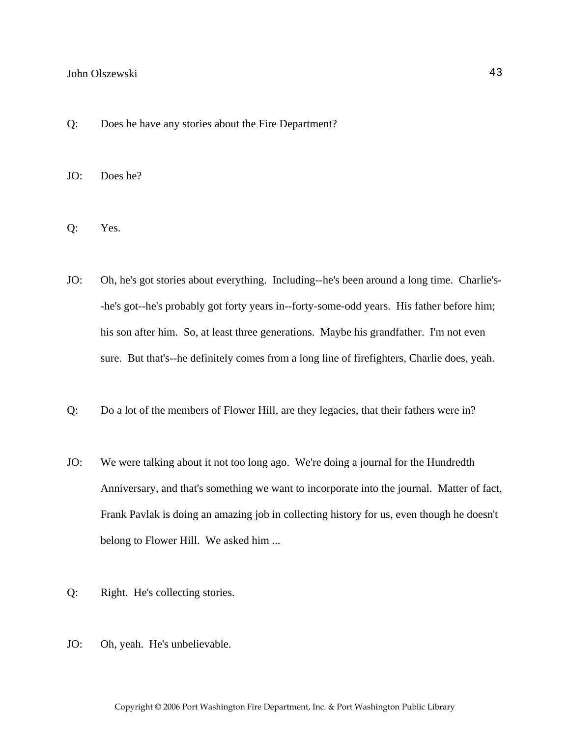- Q: Does he have any stories about the Fire Department?
- JO: Does he?
- Q: Yes.
- JO: Oh, he's got stories about everything. Including--he's been around a long time. Charlie's- -he's got--he's probably got forty years in--forty-some-odd years. His father before him; his son after him. So, at least three generations. Maybe his grandfather. I'm not even sure. But that's--he definitely comes from a long line of firefighters, Charlie does, yeah.
- Q: Do a lot of the members of Flower Hill, are they legacies, that their fathers were in?
- JO: We were talking about it not too long ago. We're doing a journal for the Hundredth Anniversary, and that's something we want to incorporate into the journal. Matter of fact, Frank Pavlak is doing an amazing job in collecting history for us, even though he doesn't belong to Flower Hill. We asked him ...
- Q: Right. He's collecting stories.
- JO: Oh, yeah. He's unbelievable.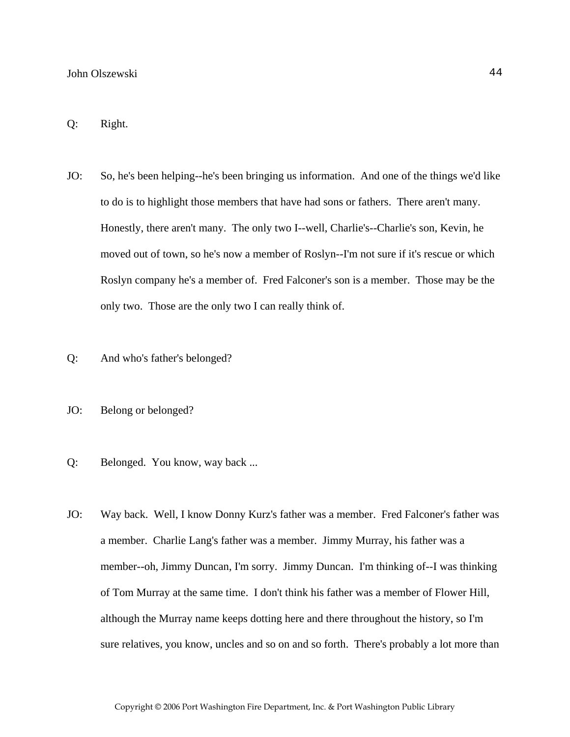#### Q: Right.

- JO: So, he's been helping--he's been bringing us information. And one of the things we'd like to do is to highlight those members that have had sons or fathers. There aren't many. Honestly, there aren't many. The only two I--well, Charlie's--Charlie's son, Kevin, he moved out of town, so he's now a member of Roslyn--I'm not sure if it's rescue or which Roslyn company he's a member of. Fred Falconer's son is a member. Those may be the only two. Those are the only two I can really think of.
- Q: And who's father's belonged?
- JO: Belong or belonged?
- Q: Belonged. You know, way back ...
- JO: Way back. Well, I know Donny Kurz's father was a member. Fred Falconer's father was a member. Charlie Lang's father was a member. Jimmy Murray, his father was a member--oh, Jimmy Duncan, I'm sorry. Jimmy Duncan. I'm thinking of--I was thinking of Tom Murray at the same time. I don't think his father was a member of Flower Hill, although the Murray name keeps dotting here and there throughout the history, so I'm sure relatives, you know, uncles and so on and so forth. There's probably a lot more than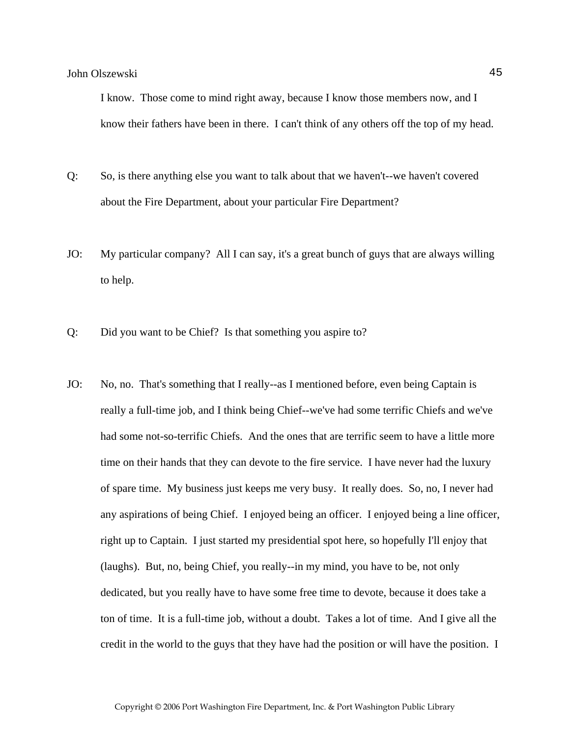I know. Those come to mind right away, because I know those members now, and I know their fathers have been in there. I can't think of any others off the top of my head.

- Q: So, is there anything else you want to talk about that we haven't--we haven't covered about the Fire Department, about your particular Fire Department?
- JO: My particular company? All I can say, it's a great bunch of guys that are always willing to help.
- Q: Did you want to be Chief? Is that something you aspire to?
- JO: No, no. That's something that I really--as I mentioned before, even being Captain is really a full-time job, and I think being Chief--we've had some terrific Chiefs and we've had some not-so-terrific Chiefs. And the ones that are terrific seem to have a little more time on their hands that they can devote to the fire service. I have never had the luxury of spare time. My business just keeps me very busy. It really does. So, no, I never had any aspirations of being Chief. I enjoyed being an officer. I enjoyed being a line officer, right up to Captain. I just started my presidential spot here, so hopefully I'll enjoy that (laughs). But, no, being Chief, you really--in my mind, you have to be, not only dedicated, but you really have to have some free time to devote, because it does take a ton of time. It is a full-time job, without a doubt. Takes a lot of time. And I give all the credit in the world to the guys that they have had the position or will have the position. I